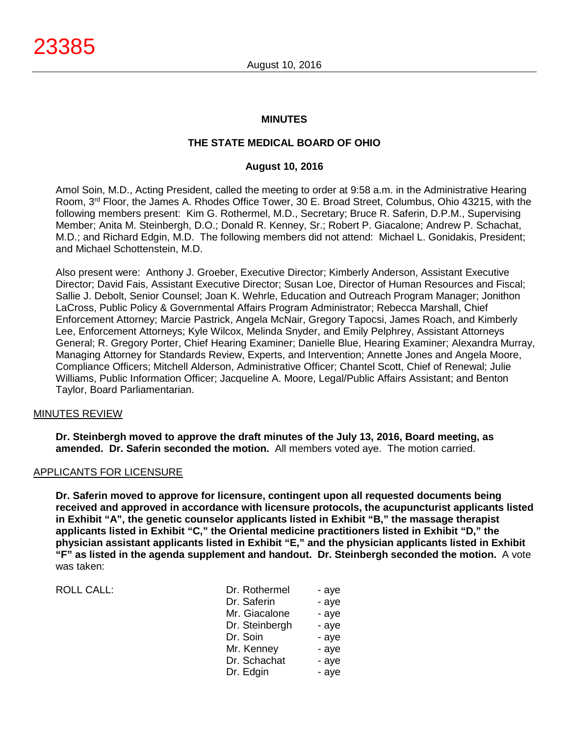## **MINUTES**

# **THE STATE MEDICAL BOARD OF OHIO**

## **August 10, 2016**

Amol Soin, M.D., Acting President, called the meeting to order at 9:58 a.m. in the Administrative Hearing Room, 3rd Floor, the James A. Rhodes Office Tower, 30 E. Broad Street, Columbus, Ohio 43215, with the following members present: Kim G. Rothermel, M.D., Secretary; Bruce R. Saferin, D.P.M., Supervising Member; Anita M. Steinbergh, D.O.; Donald R. Kenney, Sr.; Robert P. Giacalone; Andrew P. Schachat, M.D.; and Richard Edgin, M.D. The following members did not attend: Michael L. Gonidakis, President; and Michael Schottenstein, M.D.

Also present were: Anthony J. Groeber, Executive Director; Kimberly Anderson, Assistant Executive Director; David Fais, Assistant Executive Director; Susan Loe, Director of Human Resources and Fiscal; Sallie J. Debolt, Senior Counsel; Joan K. Wehrle, Education and Outreach Program Manager; Jonithon LaCross, Public Policy & Governmental Affairs Program Administrator; Rebecca Marshall, Chief Enforcement Attorney; Marcie Pastrick, Angela McNair, Gregory Tapocsi, James Roach, and Kimberly Lee, Enforcement Attorneys; Kyle Wilcox, Melinda Snyder, and Emily Pelphrey, Assistant Attorneys General; R. Gregory Porter, Chief Hearing Examiner; Danielle Blue, Hearing Examiner; Alexandra Murray, Managing Attorney for Standards Review, Experts, and Intervention; Annette Jones and Angela Moore, Compliance Officers; Mitchell Alderson, Administrative Officer; Chantel Scott, Chief of Renewal; Julie Williams, Public Information Officer; Jacqueline A. Moore, Legal/Public Affairs Assistant; and Benton Taylor, Board Parliamentarian.

### MINUTES REVIEW

**Dr. Steinbergh moved to approve the draft minutes of the July 13, 2016, Board meeting, as amended. Dr. Saferin seconded the motion.** All members voted aye. The motion carried.

### APPLICANTS FOR LICENSURE

**Dr. Saferin moved to approve for licensure, contingent upon all requested documents being received and approved in accordance with licensure protocols, the acupuncturist applicants listed in Exhibit "A", the genetic counselor applicants listed in Exhibit "B," the massage therapist applicants listed in Exhibit "C," the Oriental medicine practitioners listed in Exhibit "D," the physician assistant applicants listed in Exhibit "E," and the physician applicants listed in Exhibit "F" as listed in the agenda supplement and handout. Dr. Steinbergh seconded the motion.** A vote was taken:

ROLL CALL: DR. ROLL CALL:

| Dr. Rothermel  | - aye |
|----------------|-------|
| Dr. Saferin    | - aye |
| Mr. Giacalone  | - aye |
| Dr. Steinbergh | - aye |
| Dr. Soin       | - aye |
| Mr. Kenney     | - aye |
| Dr. Schachat   | - aye |
| Dr. Edgin      | - aye |
|                |       |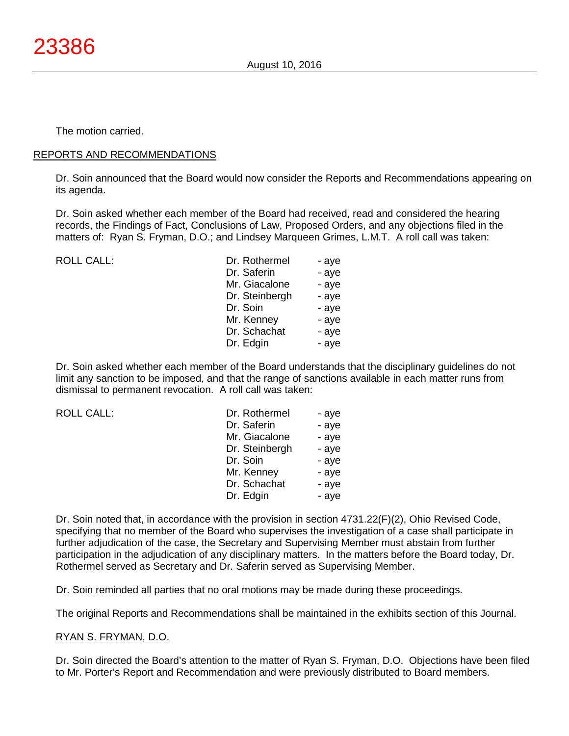The motion carried.

#### REPORTS AND RECOMMENDATIONS

Dr. Soin announced that the Board would now consider the Reports and Recommendations appearing on its agenda.

Dr. Soin asked whether each member of the Board had received, read and considered the hearing records, the Findings of Fact, Conclusions of Law, Proposed Orders, and any objections filed in the matters of: Ryan S. Fryman, D.O.; and Lindsey Marqueen Grimes, L.M.T. A roll call was taken:

ROLL CALL:

| Dr. Rothermel  | - aye |
|----------------|-------|
| Dr. Saferin    | - aye |
| Mr. Giacalone  | - aye |
| Dr. Steinbergh | - aye |
| Dr. Soin       | - aye |
| Mr. Kenney     | - aye |
| Dr. Schachat   | - aye |
| Dr. Edgin      | - aye |

Dr. Soin asked whether each member of the Board understands that the disciplinary guidelines do not limit any sanction to be imposed, and that the range of sanctions available in each matter runs from dismissal to permanent revocation. A roll call was taken:

ROLL CALL:

| Dr. Rothermel  | - aye |
|----------------|-------|
| Dr. Saferin    | - aye |
| Mr. Giacalone  | - aye |
| Dr. Steinbergh | - aye |
| Dr. Soin       | - aye |
| Mr. Kenney     | - aye |
| Dr. Schachat   | - aye |
| Dr. Edgin      | - aye |

Dr. Soin noted that, in accordance with the provision in section 4731.22(F)(2), Ohio Revised Code, specifying that no member of the Board who supervises the investigation of a case shall participate in further adjudication of the case, the Secretary and Supervising Member must abstain from further participation in the adjudication of any disciplinary matters. In the matters before the Board today, Dr. Rothermel served as Secretary and Dr. Saferin served as Supervising Member.

Dr. Soin reminded all parties that no oral motions may be made during these proceedings.

The original Reports and Recommendations shall be maintained in the exhibits section of this Journal.

### RYAN S. FRYMAN, D.O.

Dr. Soin directed the Board's attention to the matter of Ryan S. Fryman, D.O. Objections have been filed to Mr. Porter's Report and Recommendation and were previously distributed to Board members.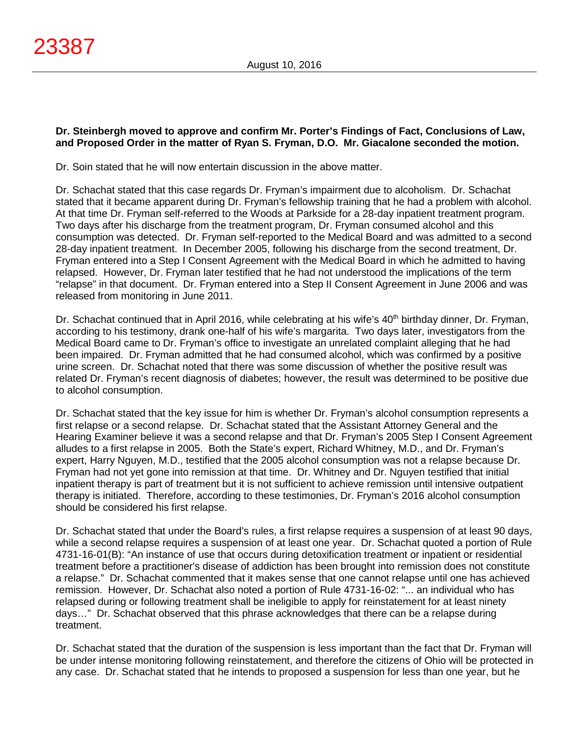## **Dr. Steinbergh moved to approve and confirm Mr. Porter's Findings of Fact, Conclusions of Law, and Proposed Order in the matter of Ryan S. Fryman, D.O. Mr. Giacalone seconded the motion.**

Dr. Soin stated that he will now entertain discussion in the above matter.

Dr. Schachat stated that this case regards Dr. Fryman's impairment due to alcoholism. Dr. Schachat stated that it became apparent during Dr. Fryman's fellowship training that he had a problem with alcohol. At that time Dr. Fryman self-referred to the Woods at Parkside for a 28-day inpatient treatment program. Two days after his discharge from the treatment program, Dr. Fryman consumed alcohol and this consumption was detected. Dr. Fryman self-reported to the Medical Board and was admitted to a second 28-day inpatient treatment. In December 2005, following his discharge from the second treatment, Dr. Fryman entered into a Step I Consent Agreement with the Medical Board in which he admitted to having relapsed. However, Dr. Fryman later testified that he had not understood the implications of the term "relapse" in that document. Dr. Fryman entered into a Step II Consent Agreement in June 2006 and was released from monitoring in June 2011.

Dr. Schachat continued that in April 2016, while celebrating at his wife's 40<sup>th</sup> birthday dinner, Dr. Fryman, according to his testimony, drank one-half of his wife's margarita. Two days later, investigators from the Medical Board came to Dr. Fryman's office to investigate an unrelated complaint alleging that he had been impaired. Dr. Fryman admitted that he had consumed alcohol, which was confirmed by a positive urine screen. Dr. Schachat noted that there was some discussion of whether the positive result was related Dr. Fryman's recent diagnosis of diabetes; however, the result was determined to be positive due to alcohol consumption.

Dr. Schachat stated that the key issue for him is whether Dr. Fryman's alcohol consumption represents a first relapse or a second relapse. Dr. Schachat stated that the Assistant Attorney General and the Hearing Examiner believe it was a second relapse and that Dr. Fryman's 2005 Step I Consent Agreement alludes to a first relapse in 2005. Both the State's expert, Richard Whitney, M.D., and Dr. Fryman's expert, Harry Nguyen, M.D., testified that the 2005 alcohol consumption was not a relapse because Dr. Fryman had not yet gone into remission at that time. Dr. Whitney and Dr. Nguyen testified that initial inpatient therapy is part of treatment but it is not sufficient to achieve remission until intensive outpatient therapy is initiated. Therefore, according to these testimonies, Dr. Fryman's 2016 alcohol consumption should be considered his first relapse.

Dr. Schachat stated that under the Board's rules, a first relapse requires a suspension of at least 90 days, while a second relapse requires a suspension of at least one year. Dr. Schachat quoted a portion of Rule 4731-16-01(B): "An instance of use that occurs during detoxification treatment or inpatient or residential treatment before a practitioner's disease of addiction has been brought into remission does not constitute a relapse." Dr. Schachat commented that it makes sense that one cannot relapse until one has achieved remission. However, Dr. Schachat also noted a portion of Rule 4731-16-02: "... an individual who has relapsed during or following treatment shall be ineligible to apply for reinstatement for at least ninety days…" Dr. Schachat observed that this phrase acknowledges that there can be a relapse during treatment.

Dr. Schachat stated that the duration of the suspension is less important than the fact that Dr. Fryman will be under intense monitoring following reinstatement, and therefore the citizens of Ohio will be protected in any case. Dr. Schachat stated that he intends to proposed a suspension for less than one year, but he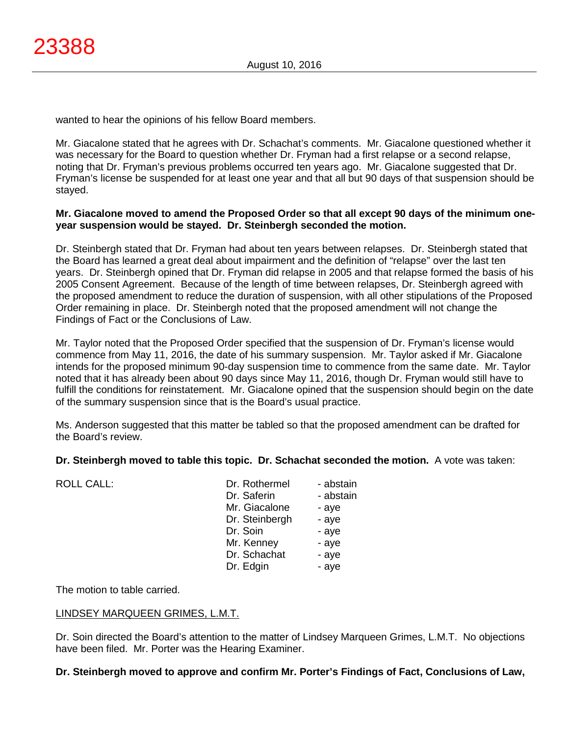wanted to hear the opinions of his fellow Board members.

Mr. Giacalone stated that he agrees with Dr. Schachat's comments. Mr. Giacalone questioned whether it was necessary for the Board to question whether Dr. Fryman had a first relapse or a second relapse, noting that Dr. Fryman's previous problems occurred ten years ago. Mr. Giacalone suggested that Dr. Fryman's license be suspended for at least one year and that all but 90 days of that suspension should be stayed.

## **Mr. Giacalone moved to amend the Proposed Order so that all except 90 days of the minimum oneyear suspension would be stayed. Dr. Steinbergh seconded the motion.**

Dr. Steinbergh stated that Dr. Fryman had about ten years between relapses. Dr. Steinbergh stated that the Board has learned a great deal about impairment and the definition of "relapse" over the last ten years. Dr. Steinbergh opined that Dr. Fryman did relapse in 2005 and that relapse formed the basis of his 2005 Consent Agreement. Because of the length of time between relapses, Dr. Steinbergh agreed with the proposed amendment to reduce the duration of suspension, with all other stipulations of the Proposed Order remaining in place. Dr. Steinbergh noted that the proposed amendment will not change the Findings of Fact or the Conclusions of Law.

Mr. Taylor noted that the Proposed Order specified that the suspension of Dr. Fryman's license would commence from May 11, 2016, the date of his summary suspension. Mr. Taylor asked if Mr. Giacalone intends for the proposed minimum 90-day suspension time to commence from the same date. Mr. Taylor noted that it has already been about 90 days since May 11, 2016, though Dr. Fryman would still have to fulfill the conditions for reinstatement. Mr. Giacalone opined that the suspension should begin on the date of the summary suspension since that is the Board's usual practice.

Ms. Anderson suggested that this matter be tabled so that the proposed amendment can be drafted for the Board's review.

### **Dr. Steinbergh moved to table this topic. Dr. Schachat seconded the motion.** A vote was taken:

| <b>ROLL CALL:</b> | Dr. Rothermel<br>Dr. Saferin<br>Mr. Giacalone<br>Dr. Steinbergh<br>Dr. Soin<br>Mr. Kenney<br>Dr. Schachat | - abstain<br>- abstain<br>- aye<br>- aye<br>- aye<br>- aye<br>- aye |
|-------------------|-----------------------------------------------------------------------------------------------------------|---------------------------------------------------------------------|
|                   |                                                                                                           |                                                                     |
|                   | Dr. Edgin                                                                                                 | - aye                                                               |
|                   |                                                                                                           |                                                                     |

The motion to table carried.

### LINDSEY MARQUEEN GRIMES, L.M.T.

Dr. Soin directed the Board's attention to the matter of Lindsey Marqueen Grimes, L.M.T. No objections have been filed. Mr. Porter was the Hearing Examiner.

### **Dr. Steinbergh moved to approve and confirm Mr. Porter's Findings of Fact, Conclusions of Law,**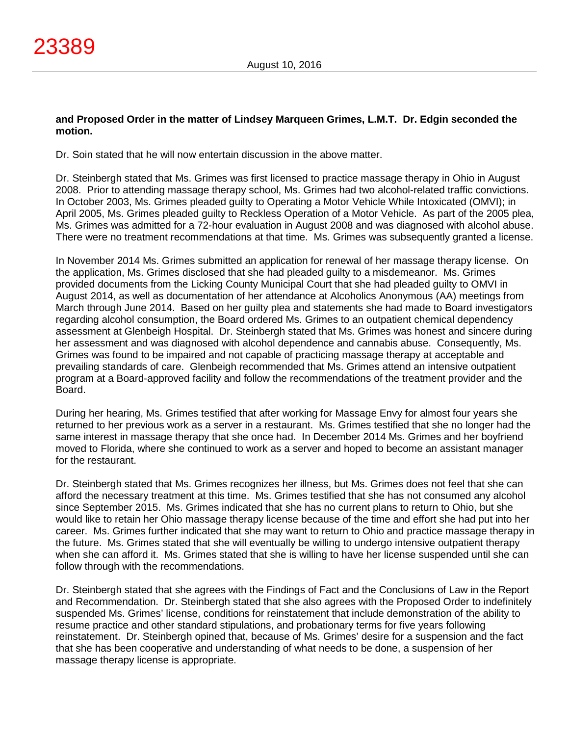### **and Proposed Order in the matter of Lindsey Marqueen Grimes, L.M.T. Dr. Edgin seconded the motion.**

Dr. Soin stated that he will now entertain discussion in the above matter.

Dr. Steinbergh stated that Ms. Grimes was first licensed to practice massage therapy in Ohio in August 2008. Prior to attending massage therapy school, Ms. Grimes had two alcohol-related traffic convictions. In October 2003, Ms. Grimes pleaded guilty to Operating a Motor Vehicle While Intoxicated (OMVI); in April 2005, Ms. Grimes pleaded guilty to Reckless Operation of a Motor Vehicle. As part of the 2005 plea, Ms. Grimes was admitted for a 72-hour evaluation in August 2008 and was diagnosed with alcohol abuse. There were no treatment recommendations at that time. Ms. Grimes was subsequently granted a license.

In November 2014 Ms. Grimes submitted an application for renewal of her massage therapy license. On the application, Ms. Grimes disclosed that she had pleaded guilty to a misdemeanor. Ms. Grimes provided documents from the Licking County Municipal Court that she had pleaded guilty to OMVI in August 2014, as well as documentation of her attendance at Alcoholics Anonymous (AA) meetings from March through June 2014. Based on her guilty plea and statements she had made to Board investigators regarding alcohol consumption, the Board ordered Ms. Grimes to an outpatient chemical dependency assessment at Glenbeigh Hospital. Dr. Steinbergh stated that Ms. Grimes was honest and sincere during her assessment and was diagnosed with alcohol dependence and cannabis abuse. Consequently, Ms. Grimes was found to be impaired and not capable of practicing massage therapy at acceptable and prevailing standards of care. Glenbeigh recommended that Ms. Grimes attend an intensive outpatient program at a Board-approved facility and follow the recommendations of the treatment provider and the Board.

During her hearing, Ms. Grimes testified that after working for Massage Envy for almost four years she returned to her previous work as a server in a restaurant. Ms. Grimes testified that she no longer had the same interest in massage therapy that she once had. In December 2014 Ms. Grimes and her boyfriend moved to Florida, where she continued to work as a server and hoped to become an assistant manager for the restaurant.

Dr. Steinbergh stated that Ms. Grimes recognizes her illness, but Ms. Grimes does not feel that she can afford the necessary treatment at this time. Ms. Grimes testified that she has not consumed any alcohol since September 2015. Ms. Grimes indicated that she has no current plans to return to Ohio, but she would like to retain her Ohio massage therapy license because of the time and effort she had put into her career. Ms. Grimes further indicated that she may want to return to Ohio and practice massage therapy in the future. Ms. Grimes stated that she will eventually be willing to undergo intensive outpatient therapy when she can afford it. Ms. Grimes stated that she is willing to have her license suspended until she can follow through with the recommendations.

Dr. Steinbergh stated that she agrees with the Findings of Fact and the Conclusions of Law in the Report and Recommendation. Dr. Steinbergh stated that she also agrees with the Proposed Order to indefinitely suspended Ms. Grimes' license, conditions for reinstatement that include demonstration of the ability to resume practice and other standard stipulations, and probationary terms for five years following reinstatement. Dr. Steinbergh opined that, because of Ms. Grimes' desire for a suspension and the fact that she has been cooperative and understanding of what needs to be done, a suspension of her massage therapy license is appropriate.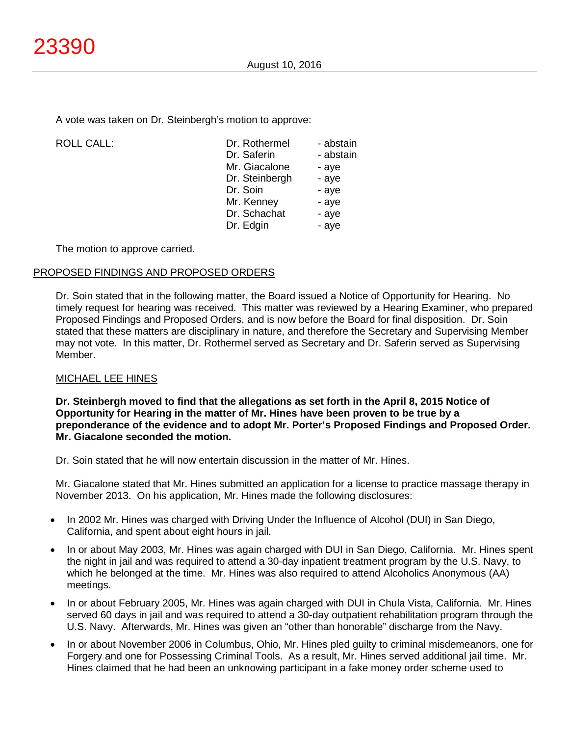A vote was taken on Dr. Steinbergh's motion to approve:

| <b>ROLL CALL:</b> | Dr. Rothermel  | - abstain |
|-------------------|----------------|-----------|
|                   | Dr. Saferin    | - abstain |
|                   | Mr. Giacalone  | - aye     |
|                   | Dr. Steinbergh | - aye     |
|                   | Dr. Soin       | - aye     |
|                   | Mr. Kenney     | - aye     |
|                   | Dr. Schachat   | - aye     |
|                   | Dr. Edgin      | - aye     |
|                   |                |           |

The motion to approve carried.

### PROPOSED FINDINGS AND PROPOSED ORDERS

Dr. Soin stated that in the following matter, the Board issued a Notice of Opportunity for Hearing. No timely request for hearing was received. This matter was reviewed by a Hearing Examiner, who prepared Proposed Findings and Proposed Orders, and is now before the Board for final disposition. Dr. Soin stated that these matters are disciplinary in nature, and therefore the Secretary and Supervising Member may not vote. In this matter, Dr. Rothermel served as Secretary and Dr. Saferin served as Supervising Member.

# MICHAEL LEE HINES

**Dr. Steinbergh moved to find that the allegations as set forth in the April 8, 2015 Notice of Opportunity for Hearing in the matter of Mr. Hines have been proven to be true by a preponderance of the evidence and to adopt Mr. Porter's Proposed Findings and Proposed Order. Mr. Giacalone seconded the motion.**

Dr. Soin stated that he will now entertain discussion in the matter of Mr. Hines.

Mr. Giacalone stated that Mr. Hines submitted an application for a license to practice massage therapy in November 2013. On his application, Mr. Hines made the following disclosures:

- In 2002 Mr. Hines was charged with Driving Under the Influence of Alcohol (DUI) in San Diego, California, and spent about eight hours in jail.
- In or about May 2003, Mr. Hines was again charged with DUI in San Diego, California. Mr. Hines spent the night in jail and was required to attend a 30-day inpatient treatment program by the U.S. Navy, to which he belonged at the time. Mr. Hines was also required to attend Alcoholics Anonymous (AA) meetings.
- In or about February 2005, Mr. Hines was again charged with DUI in Chula Vista, California. Mr. Hines served 60 days in jail and was required to attend a 30-day outpatient rehabilitation program through the U.S. Navy. Afterwards, Mr. Hines was given an "other than honorable" discharge from the Navy.
- In or about November 2006 in Columbus, Ohio, Mr. Hines pled guilty to criminal misdemeanors, one for Forgery and one for Possessing Criminal Tools. As a result, Mr. Hines served additional jail time. Mr. Hines claimed that he had been an unknowing participant in a fake money order scheme used to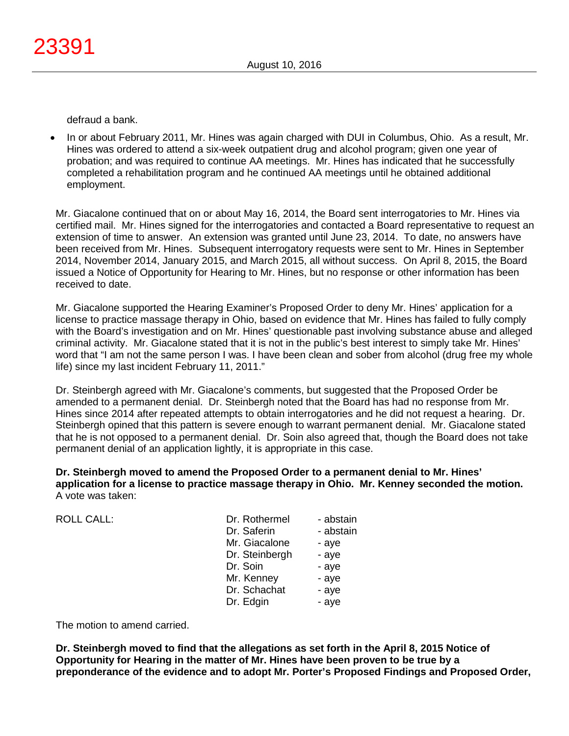defraud a bank.

• In or about February 2011, Mr. Hines was again charged with DUI in Columbus, Ohio. As a result, Mr. Hines was ordered to attend a six-week outpatient drug and alcohol program; given one year of probation; and was required to continue AA meetings. Mr. Hines has indicated that he successfully completed a rehabilitation program and he continued AA meetings until he obtained additional employment.

Mr. Giacalone continued that on or about May 16, 2014, the Board sent interrogatories to Mr. Hines via certified mail. Mr. Hines signed for the interrogatories and contacted a Board representative to request an extension of time to answer. An extension was granted until June 23, 2014. To date, no answers have been received from Mr. Hines. Subsequent interrogatory requests were sent to Mr. Hines in September 2014, November 2014, January 2015, and March 2015, all without success. On April 8, 2015, the Board issued a Notice of Opportunity for Hearing to Mr. Hines, but no response or other information has been received to date.

Mr. Giacalone supported the Hearing Examiner's Proposed Order to deny Mr. Hines' application for a license to practice massage therapy in Ohio, based on evidence that Mr. Hines has failed to fully comply with the Board's investigation and on Mr. Hines' questionable past involving substance abuse and alleged criminal activity. Mr. Giacalone stated that it is not in the public's best interest to simply take Mr. Hines' word that "I am not the same person I was. I have been clean and sober from alcohol (drug free my whole life) since my last incident February 11, 2011."

Dr. Steinbergh agreed with Mr. Giacalone's comments, but suggested that the Proposed Order be amended to a permanent denial. Dr. Steinbergh noted that the Board has had no response from Mr. Hines since 2014 after repeated attempts to obtain interrogatories and he did not request a hearing. Dr. Steinbergh opined that this pattern is severe enough to warrant permanent denial. Mr. Giacalone stated that he is not opposed to a permanent denial. Dr. Soin also agreed that, though the Board does not take permanent denial of an application lightly, it is appropriate in this case.

**Dr. Steinbergh moved to amend the Proposed Order to a permanent denial to Mr. Hines' application for a license to practice massage therapy in Ohio. Mr. Kenney seconded the motion.** A vote was taken:

 $ROILCAIL$ :

| - abstain |
|-----------|
| - abstain |
| - aye     |
| - aye     |
| - aye     |
| - aye     |
| - aye     |
| - aye     |
|           |

The motion to amend carried.

**Dr. Steinbergh moved to find that the allegations as set forth in the April 8, 2015 Notice of Opportunity for Hearing in the matter of Mr. Hines have been proven to be true by a preponderance of the evidence and to adopt Mr. Porter's Proposed Findings and Proposed Order,**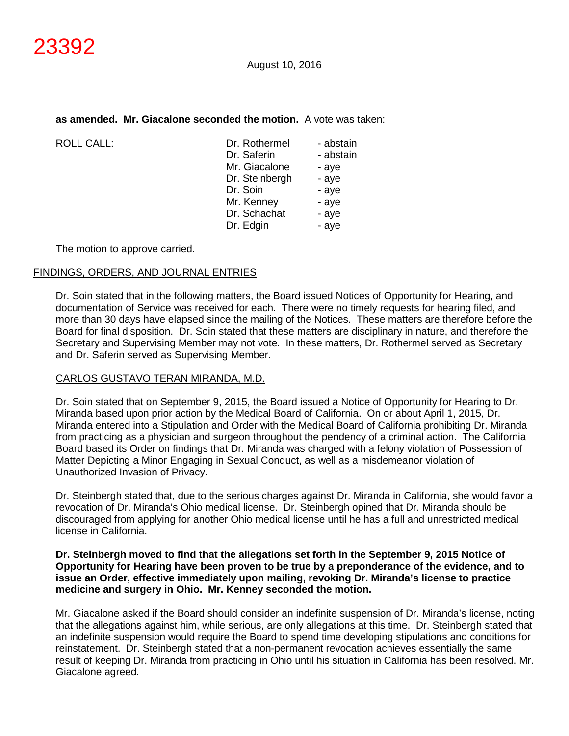#### **as amended. Mr. Giacalone seconded the motion.** A vote was taken:

| <b>ROLL CALL:</b> |
|-------------------|
|                   |

| <b>ROLL CALL:</b> | Dr. Rothermel  | - abstain |
|-------------------|----------------|-----------|
|                   | Dr. Saferin    | - abstain |
|                   | Mr. Giacalone  | - aye     |
|                   | Dr. Steinbergh | - aye     |
|                   | Dr. Soin       | - aye     |
|                   | Mr. Kenney     | - aye     |
|                   | Dr. Schachat   | - aye     |
|                   | Dr. Edgin      | - aye     |
|                   |                |           |

The motion to approve carried.

### FINDINGS, ORDERS, AND JOURNAL ENTRIES

Dr. Soin stated that in the following matters, the Board issued Notices of Opportunity for Hearing, and documentation of Service was received for each. There were no timely requests for hearing filed, and more than 30 days have elapsed since the mailing of the Notices. These matters are therefore before the Board for final disposition. Dr. Soin stated that these matters are disciplinary in nature, and therefore the Secretary and Supervising Member may not vote. In these matters, Dr. Rothermel served as Secretary and Dr. Saferin served as Supervising Member.

### CARLOS GUSTAVO TERAN MIRANDA, M.D.

Dr. Soin stated that on September 9, 2015, the Board issued a Notice of Opportunity for Hearing to Dr. Miranda based upon prior action by the Medical Board of California. On or about April 1, 2015, Dr. Miranda entered into a Stipulation and Order with the Medical Board of California prohibiting Dr. Miranda from practicing as a physician and surgeon throughout the pendency of a criminal action. The California Board based its Order on findings that Dr. Miranda was charged with a felony violation of Possession of Matter Depicting a Minor Engaging in Sexual Conduct, as well as a misdemeanor violation of Unauthorized Invasion of Privacy.

Dr. Steinbergh stated that, due to the serious charges against Dr. Miranda in California, she would favor a revocation of Dr. Miranda's Ohio medical license. Dr. Steinbergh opined that Dr. Miranda should be discouraged from applying for another Ohio medical license until he has a full and unrestricted medical license in California.

### **Dr. Steinbergh moved to find that the allegations set forth in the September 9, 2015 Notice of Opportunity for Hearing have been proven to be true by a preponderance of the evidence, and to issue an Order, effective immediately upon mailing, revoking Dr. Miranda's license to practice medicine and surgery in Ohio. Mr. Kenney seconded the motion.**

Mr. Giacalone asked if the Board should consider an indefinite suspension of Dr. Miranda's license, noting that the allegations against him, while serious, are only allegations at this time. Dr. Steinbergh stated that an indefinite suspension would require the Board to spend time developing stipulations and conditions for reinstatement. Dr. Steinbergh stated that a non-permanent revocation achieves essentially the same result of keeping Dr. Miranda from practicing in Ohio until his situation in California has been resolved. Mr. Giacalone agreed.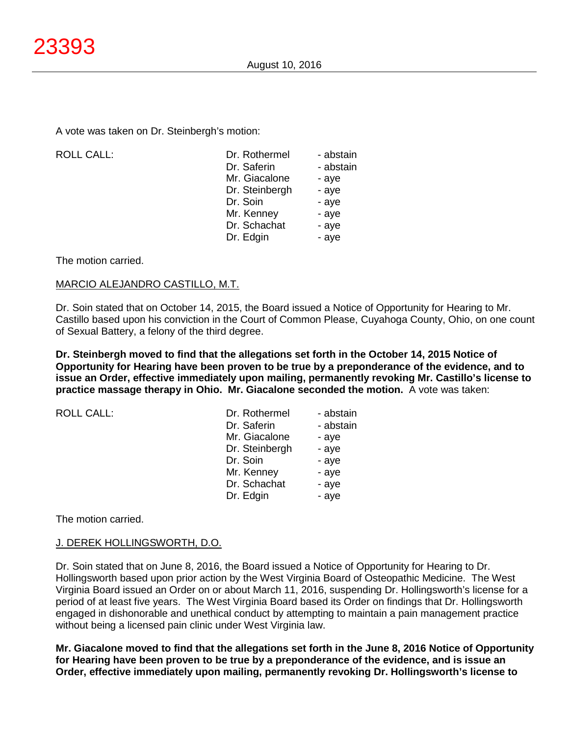A vote was taken on Dr. Steinbergh's motion:

| <b>ROLL CALL:</b> | Dr. Rothermel  | - abstain |
|-------------------|----------------|-----------|
|                   | Dr. Saferin    | - abstain |
|                   | Mr. Giacalone  | - aye     |
|                   | Dr. Steinbergh | - aye     |
|                   | Dr. Soin       | - aye     |
|                   | Mr. Kenney     | - aye     |
|                   | Dr. Schachat   | - aye     |
|                   | Dr. Edgin      | - aye     |
|                   |                |           |

The motion carried.

### MARCIO ALEJANDRO CASTILLO, M.T.

Dr. Soin stated that on October 14, 2015, the Board issued a Notice of Opportunity for Hearing to Mr. Castillo based upon his conviction in the Court of Common Please, Cuyahoga County, Ohio, on one count of Sexual Battery, a felony of the third degree.

**Dr. Steinbergh moved to find that the allegations set forth in the October 14, 2015 Notice of Opportunity for Hearing have been proven to be true by a preponderance of the evidence, and to issue an Order, effective immediately upon mailing, permanently revoking Mr. Castillo's license to practice massage therapy in Ohio. Mr. Giacalone seconded the motion.** A vote was taken:

| <b>ROLL CALL:</b> | Dr. Rothermel  | - abstain |
|-------------------|----------------|-----------|
|                   | Dr. Saferin    | - abstain |
|                   | Mr. Giacalone  | - aye     |
|                   | Dr. Steinbergh | - aye     |
|                   | Dr. Soin       | - aye     |
|                   | Mr. Kenney     | - aye     |
|                   | Dr. Schachat   | - aye     |
|                   | Dr. Edgin      | - aye     |

The motion carried.

### J. DEREK HOLLINGSWORTH, D.O.

Dr. Soin stated that on June 8, 2016, the Board issued a Notice of Opportunity for Hearing to Dr. Hollingsworth based upon prior action by the West Virginia Board of Osteopathic Medicine. The West Virginia Board issued an Order on or about March 11, 2016, suspending Dr. Hollingsworth's license for a period of at least five years. The West Virginia Board based its Order on findings that Dr. Hollingsworth engaged in dishonorable and unethical conduct by attempting to maintain a pain management practice without being a licensed pain clinic under West Virginia law.

**Mr. Giacalone moved to find that the allegations set forth in the June 8, 2016 Notice of Opportunity for Hearing have been proven to be true by a preponderance of the evidence, and is issue an Order, effective immediately upon mailing, permanently revoking Dr. Hollingsworth's license to**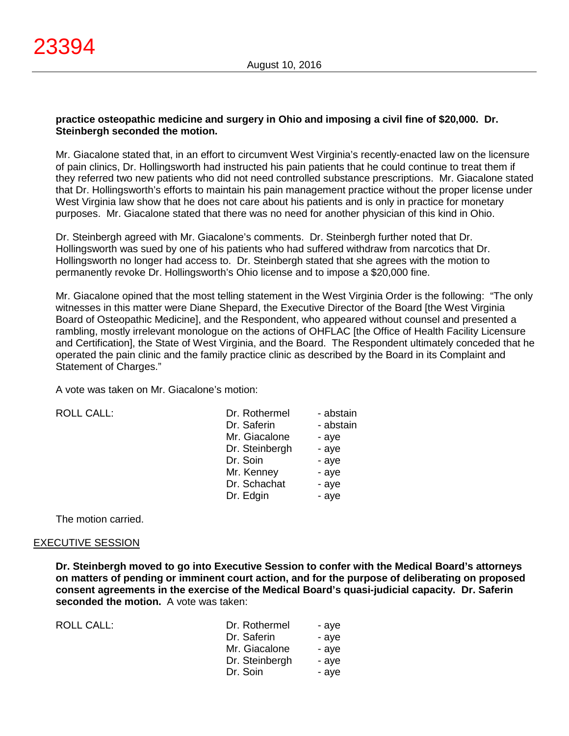### **practice osteopathic medicine and surgery in Ohio and imposing a civil fine of \$20,000. Dr. Steinbergh seconded the motion.**

Mr. Giacalone stated that, in an effort to circumvent West Virginia's recently-enacted law on the licensure of pain clinics, Dr. Hollingsworth had instructed his pain patients that he could continue to treat them if they referred two new patients who did not need controlled substance prescriptions. Mr. Giacalone stated that Dr. Hollingsworth's efforts to maintain his pain management practice without the proper license under West Virginia law show that he does not care about his patients and is only in practice for monetary purposes. Mr. Giacalone stated that there was no need for another physician of this kind in Ohio.

Dr. Steinbergh agreed with Mr. Giacalone's comments. Dr. Steinbergh further noted that Dr. Hollingsworth was sued by one of his patients who had suffered withdraw from narcotics that Dr. Hollingsworth no longer had access to. Dr. Steinbergh stated that she agrees with the motion to permanently revoke Dr. Hollingsworth's Ohio license and to impose a \$20,000 fine.

Mr. Giacalone opined that the most telling statement in the West Virginia Order is the following: "The only witnesses in this matter were Diane Shepard, the Executive Director of the Board [the West Virginia Board of Osteopathic Medicine], and the Respondent, who appeared without counsel and presented a rambling, mostly irrelevant monologue on the actions of OHFLAC [the Office of Health Facility Licensure and Certification], the State of West Virginia, and the Board. The Respondent ultimately conceded that he operated the pain clinic and the family practice clinic as described by the Board in its Complaint and Statement of Charges."

A vote was taken on Mr. Giacalone's motion:

ROLL CALL:

The motion carried.

### EXECUTIVE SESSION

**Dr. Steinbergh moved to go into Executive Session to confer with the Medical Board's attorneys on matters of pending or imminent court action, and for the purpose of deliberating on proposed consent agreements in the exercise of the Medical Board's quasi-judicial capacity. Dr. Saferin seconded the motion.** A vote was taken:

| ROLL CALL: | Dr. Rothermel  | - ave |
|------------|----------------|-------|
|            | Dr. Saferin    | - ave |
|            | Mr. Giacalone  | - ave |
|            | Dr. Steinbergh | - ave |
|            | Dr. Soin       | - ave |
|            |                |       |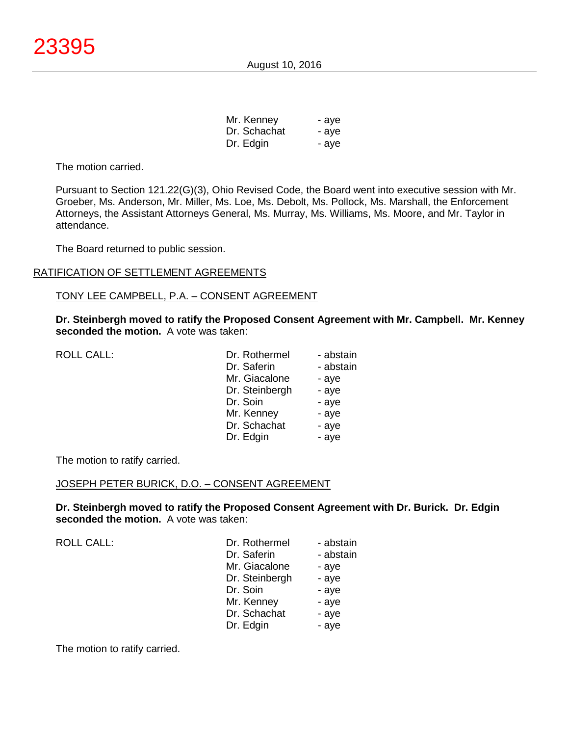August 10, 2016

| Mr. Kenney   | - aye |
|--------------|-------|
| Dr. Schachat | - aye |
| Dr. Edgin    | - aye |

The motion carried.

Pursuant to Section 121.22(G)(3), Ohio Revised Code, the Board went into executive session with Mr. Groeber, Ms. Anderson, Mr. Miller, Ms. Loe, Ms. Debolt, Ms. Pollock, Ms. Marshall, the Enforcement Attorneys, the Assistant Attorneys General, Ms. Murray, Ms. Williams, Ms. Moore, and Mr. Taylor in attendance.

The Board returned to public session.

### RATIFICATION OF SETTLEMENT AGREEMENTS

#### TONY LEE CAMPBELL, P.A. – CONSENT AGREEMENT

**Dr. Steinbergh moved to ratify the Proposed Consent Agreement with Mr. Campbell. Mr. Kenney seconded the motion.** A vote was taken:

| <b>ROLL CALL:</b> |  |
|-------------------|--|
|                   |  |

| <b>ROLL CALL:</b> | Dr. Rothermel  | - abstain |
|-------------------|----------------|-----------|
|                   | Dr. Saferin    | - abstain |
|                   | Mr. Giacalone  | - aye     |
|                   | Dr. Steinbergh | - aye     |
|                   | Dr. Soin       | - aye     |
|                   | Mr. Kenney     | - aye     |
|                   | Dr. Schachat   | - aye     |
|                   | Dr. Edgin      | - aye     |
|                   |                |           |

The motion to ratify carried.

#### JOSEPH PETER BURICK, D.O. – CONSENT AGREEMENT

**Dr. Steinbergh moved to ratify the Proposed Consent Agreement with Dr. Burick. Dr. Edgin seconded the motion.** A vote was taken:

| Dr. Rothermel  | - abstain |
|----------------|-----------|
| Dr. Saferin    | - abstain |
| Mr. Giacalone  | - aye     |
| Dr. Steinbergh | - aye     |
| Dr. Soin       | - aye     |
| Mr. Kenney     | - aye     |
| Dr. Schachat   | - aye     |
| Dr. Edgin      | - aye     |
|                |           |

The motion to ratify carried.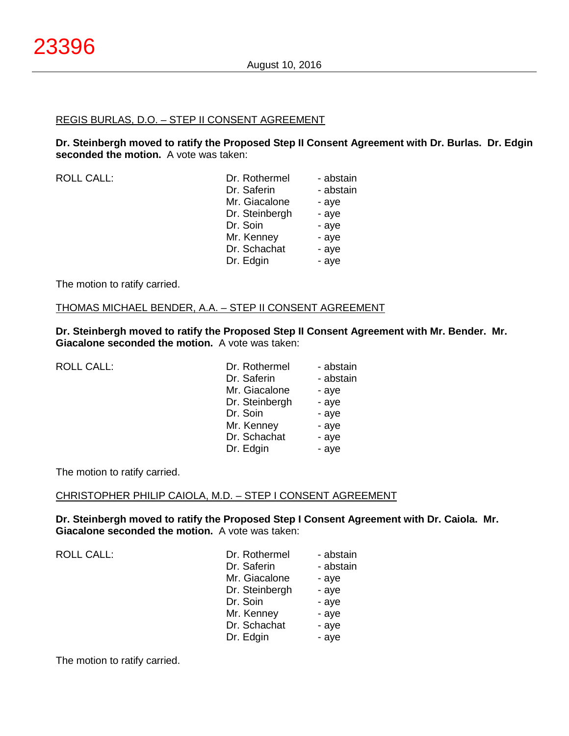# REGIS BURLAS, D.O. – STEP II CONSENT AGREEMENT

**Dr. Steinbergh moved to ratify the Proposed Step II Consent Agreement with Dr. Burlas. Dr. Edgin seconded the motion.** A vote was taken:

| <b>ROLL CALL:</b> | Dr. Rothermel  | - abstain |
|-------------------|----------------|-----------|
|                   | Dr. Saferin    | - abstain |
|                   | Mr. Giacalone  | - aye     |
|                   | Dr. Steinbergh | - aye     |
|                   | Dr. Soin       | - aye     |
|                   | Mr. Kenney     | - aye     |
|                   | Dr. Schachat   | - aye     |
|                   | Dr. Edgin      | - aye     |
|                   |                |           |

The motion to ratify carried.

THOMAS MICHAEL BENDER, A.A. – STEP II CONSENT AGREEMENT

**Dr. Steinbergh moved to ratify the Proposed Step II Consent Agreement with Mr. Bender. Mr. Giacalone seconded the motion.** A vote was taken:

| <b>ROLL CALL:</b> | Dr. Rothermel  | - abstain |
|-------------------|----------------|-----------|
|                   | Dr. Saferin    | - abstain |
|                   | Mr. Giacalone  | - aye     |
|                   | Dr. Steinbergh | - aye     |
|                   | Dr. Soin       | - aye     |
|                   | Mr. Kenney     | - aye     |
|                   | Dr. Schachat   | - aye     |
|                   | Dr. Edgin      | - aye     |

The motion to ratify carried.

## CHRISTOPHER PHILIP CAIOLA, M.D. – STEP I CONSENT AGREEMENT

**Dr. Steinbergh moved to ratify the Proposed Step I Consent Agreement with Dr. Caiola. Mr. Giacalone seconded the motion.** A vote was taken:

ROLL CALL:

| Dr. Rothermel  | - abstain |
|----------------|-----------|
| Dr. Saferin    | - abstain |
| Mr. Giacalone  | - aye     |
| Dr. Steinbergh | - aye     |
| Dr. Soin       | - aye     |
| Mr. Kenney     | - aye     |
| Dr. Schachat   | - aye     |
| Dr. Edgin      | - aye     |
|                |           |

The motion to ratify carried.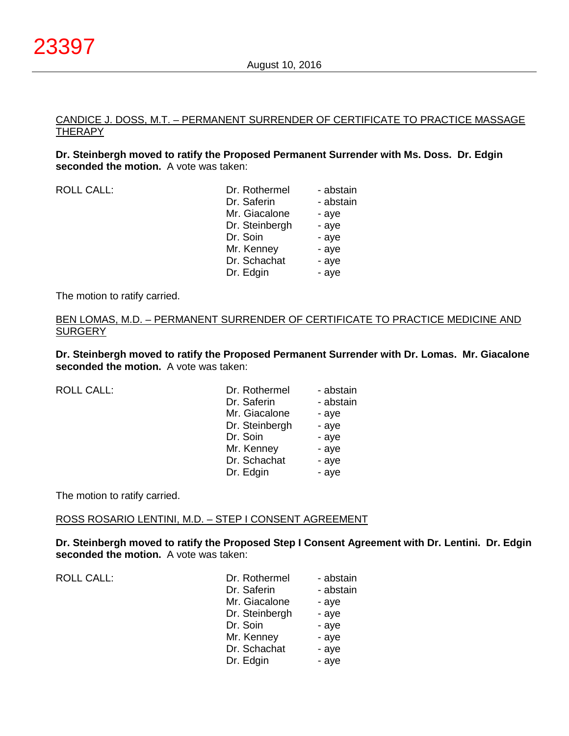# CANDICE J. DOSS, M.T. – PERMANENT SURRENDER OF CERTIFICATE TO PRACTICE MASSAGE THERAPY

**Dr. Steinbergh moved to ratify the Proposed Permanent Surrender with Ms. Doss. Dr. Edgin seconded the motion.** A vote was taken:

| <b>ROLL CALL:</b> | Dr. Rothermel  | - abstain |
|-------------------|----------------|-----------|
|                   | Dr. Saferin    | - abstain |
|                   | Mr. Giacalone  | - aye     |
|                   | Dr. Steinbergh | - aye     |
|                   | Dr. Soin       | - aye     |
|                   | Mr. Kenney     | - aye     |
|                   | Dr. Schachat   | - aye     |
|                   | Dr. Edgin      | - aye     |
|                   |                |           |

The motion to ratify carried.

### BEN LOMAS, M.D. – PERMANENT SURRENDER OF CERTIFICATE TO PRACTICE MEDICINE AND **SURGERY**

**Dr. Steinbergh moved to ratify the Proposed Permanent Surrender with Dr. Lomas. Mr. Giacalone seconded the motion.** A vote was taken:

| <b>ROLL CALL:</b> | Dr. Rothermel  | - abstain |
|-------------------|----------------|-----------|
|                   | Dr. Saferin    | - abstain |
|                   | Mr. Giacalone  | - aye     |
|                   | Dr. Steinbergh | - aye     |
|                   | Dr. Soin       | - aye     |
|                   | Mr. Kenney     | - aye     |
|                   | Dr. Schachat   | - aye     |
|                   | Dr. Edgin      | - aye     |

The motion to ratify carried.

ROSS ROSARIO LENTINI, M.D. – STEP I CONSENT AGREEMENT

**Dr. Steinbergh moved to ratify the Proposed Step I Consent Agreement with Dr. Lentini. Dr. Edgin seconded the motion.** A vote was taken:

| <b>ROLL CALL:</b> | Dr. Rothermel  | - abstain |
|-------------------|----------------|-----------|
|                   | Dr. Saferin    | - abstain |
|                   | Mr. Giacalone  | - aye     |
|                   | Dr. Steinbergh | - aye     |
|                   | Dr. Soin       | - aye     |
|                   | Mr. Kenney     | - aye     |
|                   | Dr. Schachat   | - aye     |
|                   | Dr. Edgin      | - aye     |
|                   |                |           |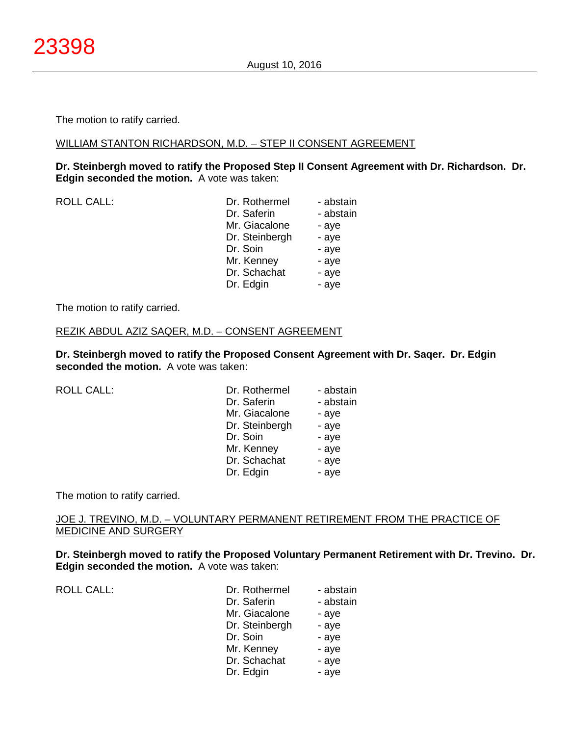The motion to ratify carried.

#### WILLIAM STANTON RICHARDSON, M.D. – STEP II CONSENT AGREEMENT

**Dr. Steinbergh moved to ratify the Proposed Step II Consent Agreement with Dr. Richardson. Dr. Edgin seconded the motion.** A vote was taken:

ROLL CALL:

| - abstain |
|-----------|
|           |
| - abstain |
| - aye     |
| - aye     |
| - aye     |
| - aye     |
| - aye     |
| - aye     |
|           |

The motion to ratify carried.

## REZIK ABDUL AZIZ SAQER, M.D. – CONSENT AGREEMENT

**Dr. Steinbergh moved to ratify the Proposed Consent Agreement with Dr. Saqer. Dr. Edgin seconded the motion.** A vote was taken:

| <b>ROLL CALL:</b> | Dr. Rothermel  | - abstain |
|-------------------|----------------|-----------|
|                   | Dr. Saferin    | - abstain |
|                   | Mr. Giacalone  | - aye     |
|                   | Dr. Steinbergh | - aye     |
|                   | Dr. Soin       | - aye     |
|                   | Mr. Kenney     | - aye     |
|                   | Dr. Schachat   | - aye     |
|                   | Dr. Edgin      | - aye     |

The motion to ratify carried.

JOE J. TREVINO, M.D. – VOLUNTARY PERMANENT RETIREMENT FROM THE PRACTICE OF MEDICINE AND SURGERY

**Dr. Steinbergh moved to ratify the Proposed Voluntary Permanent Retirement with Dr. Trevino. Dr. Edgin seconded the motion.** A vote was taken:

ROLL CALL: Dr. Dr. Basic - abstract - abstract - abstract - abstract - abstract - abstract - abstract - abstract - abstract - abstract - abstract - abstract - abstract - abstract - abstract - abstract - abstract - abstract

| Dr. Rothermel  | - abstain |
|----------------|-----------|
| Dr. Saferin    | - abstain |
| Mr. Giacalone  | - aye     |
| Dr. Steinbergh | - aye     |
| Dr. Soin       | - aye     |
| Mr. Kenney     | - aye     |
| Dr. Schachat   | - aye     |
| Dr. Edgin      | - aye     |
|                |           |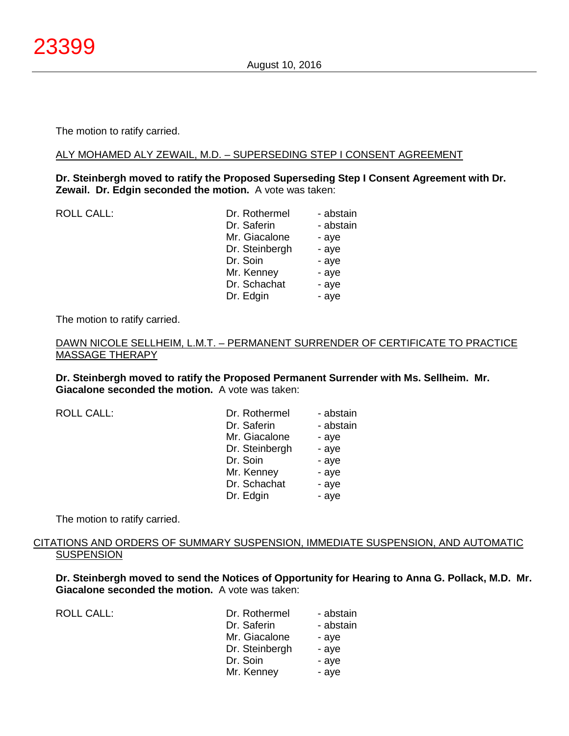The motion to ratify carried.

#### ALY MOHAMED ALY ZEWAIL, M.D. – SUPERSEDING STEP I CONSENT AGREEMENT

## **Dr. Steinbergh moved to ratify the Proposed Superseding Step I Consent Agreement with Dr. Zewail. Dr. Edgin seconded the motion.** A vote was taken:

ROLL CALL: **Dr. Rothermel** - abstain Dr. Saferin - abstain Mr. Giacalone - aye Dr. Steinbergh - aye Dr. Soin - aye Mr. Kenney - aye Dr. Schachat - aye Dr. Edgin - aye

The motion to ratify carried.

## DAWN NICOLE SELLHEIM, L.M.T. – PERMANENT SURRENDER OF CERTIFICATE TO PRACTICE MASSAGE THERAPY

**Dr. Steinbergh moved to ratify the Proposed Permanent Surrender with Ms. Sellheim. Mr. Giacalone seconded the motion.** A vote was taken:

ROLL CALL:

| Dr. Rothermel  | - abstain |
|----------------|-----------|
| Dr. Saferin    | - abstain |
| Mr. Giacalone  | - aye     |
| Dr. Steinbergh | - aye     |
| Dr. Soin       | - aye     |
| Mr. Kenney     | - aye     |
| Dr. Schachat   | - aye     |
| Dr. Edgin      | - aye     |

The motion to ratify carried.

## CITATIONS AND ORDERS OF SUMMARY SUSPENSION, IMMEDIATE SUSPENSION, AND AUTOMATIC **SUSPENSION**

**Dr. Steinbergh moved to send the Notices of Opportunity for Hearing to Anna G. Pollack, M.D. Mr. Giacalone seconded the motion.** A vote was taken:

ROLL CALL:

| Dr. Rothermel  | - abstain |
|----------------|-----------|
| Dr. Saferin    | - abstain |
| Mr. Giacalone  | - aye     |
| Dr. Steinbergh | - aye     |
| Dr. Soin       | - aye     |
| Mr. Kenney     | - aye     |
|                |           |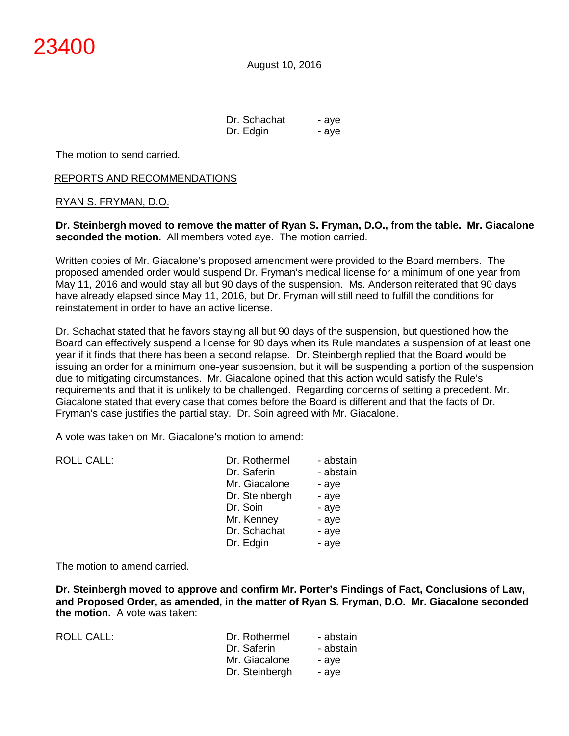| Dr. Schachat | - aye |
|--------------|-------|
| Dr. Edgin    | - aye |

The motion to send carried.

#### REPORTS AND RECOMMENDATIONS

#### RYAN S. FRYMAN, D.O.

**Dr. Steinbergh moved to remove the matter of Ryan S. Fryman, D.O., from the table. Mr. Giacalone seconded the motion.** All members voted aye. The motion carried.

Written copies of Mr. Giacalone's proposed amendment were provided to the Board members. The proposed amended order would suspend Dr. Fryman's medical license for a minimum of one year from May 11, 2016 and would stay all but 90 days of the suspension. Ms. Anderson reiterated that 90 days have already elapsed since May 11, 2016, but Dr. Fryman will still need to fulfill the conditions for reinstatement in order to have an active license.

Dr. Schachat stated that he favors staying all but 90 days of the suspension, but questioned how the Board can effectively suspend a license for 90 days when its Rule mandates a suspension of at least one year if it finds that there has been a second relapse. Dr. Steinbergh replied that the Board would be issuing an order for a minimum one-year suspension, but it will be suspending a portion of the suspension due to mitigating circumstances. Mr. Giacalone opined that this action would satisfy the Rule's requirements and that it is unlikely to be challenged. Regarding concerns of setting a precedent, Mr. Giacalone stated that every case that comes before the Board is different and that the facts of Dr. Fryman's case justifies the partial stay. Dr. Soin agreed with Mr. Giacalone.

A vote was taken on Mr. Giacalone's motion to amend:

| <b>ROLL CALL:</b> | Dr. Rothermel  | - abstain |
|-------------------|----------------|-----------|
|                   | Dr. Saferin    | - abstain |
|                   | Mr. Giacalone  | - aye     |
|                   | Dr. Steinbergh | - aye     |
|                   | Dr. Soin       | - aye     |
|                   | Mr. Kenney     | - aye     |
|                   | Dr. Schachat   | - aye     |
|                   | Dr. Edgin      | - aye     |
|                   |                |           |

The motion to amend carried.

**Dr. Steinbergh moved to approve and confirm Mr. Porter's Findings of Fact, Conclusions of Law, and Proposed Order, as amended, in the matter of Ryan S. Fryman, D.O. Mr. Giacalone seconded the motion.** A vote was taken:

| <b>ROLL CALL:</b> | Dr. Rothermel  | - abstain |
|-------------------|----------------|-----------|
|                   | Dr. Saferin    | - abstain |
|                   | Mr. Giacalone  | - ave     |
|                   | Dr. Steinbergh | - ave     |
|                   |                |           |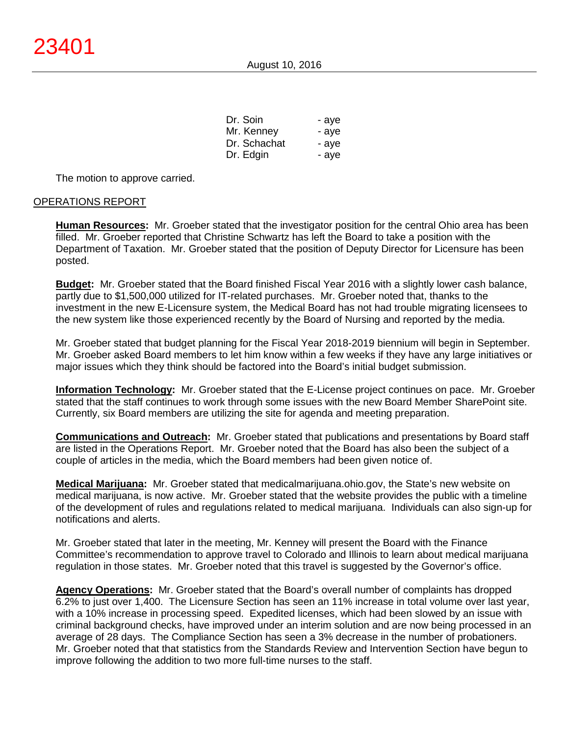| Dr. Soin     | - aye |
|--------------|-------|
| Mr. Kenney   | - aye |
| Dr. Schachat | - aye |
| Dr. Edgin    | - aye |

The motion to approve carried.

### OPERATIONS REPORT

**Human Resources:** Mr. Groeber stated that the investigator position for the central Ohio area has been filled. Mr. Groeber reported that Christine Schwartz has left the Board to take a position with the Department of Taxation. Mr. Groeber stated that the position of Deputy Director for Licensure has been posted.

**Budget:** Mr. Groeber stated that the Board finished Fiscal Year 2016 with a slightly lower cash balance, partly due to \$1,500,000 utilized for IT-related purchases. Mr. Groeber noted that, thanks to the investment in the new E-Licensure system, the Medical Board has not had trouble migrating licensees to the new system like those experienced recently by the Board of Nursing and reported by the media.

Mr. Groeber stated that budget planning for the Fiscal Year 2018-2019 biennium will begin in September. Mr. Groeber asked Board members to let him know within a few weeks if they have any large initiatives or major issues which they think should be factored into the Board's initial budget submission.

**Information Technology:** Mr. Groeber stated that the E-License project continues on pace. Mr. Groeber stated that the staff continues to work through some issues with the new Board Member SharePoint site. Currently, six Board members are utilizing the site for agenda and meeting preparation.

**Communications and Outreach:** Mr. Groeber stated that publications and presentations by Board staff are listed in the Operations Report. Mr. Groeber noted that the Board has also been the subject of a couple of articles in the media, which the Board members had been given notice of.

**Medical Marijuana:** Mr. Groeber stated that medicalmarijuana.ohio.gov, the State's new website on medical marijuana, is now active. Mr. Groeber stated that the website provides the public with a timeline of the development of rules and regulations related to medical marijuana. Individuals can also sign-up for notifications and alerts.

Mr. Groeber stated that later in the meeting, Mr. Kenney will present the Board with the Finance Committee's recommendation to approve travel to Colorado and Illinois to learn about medical marijuana regulation in those states. Mr. Groeber noted that this travel is suggested by the Governor's office.

**Agency Operations:** Mr. Groeber stated that the Board's overall number of complaints has dropped 6.2% to just over 1,400. The Licensure Section has seen an 11% increase in total volume over last year, with a 10% increase in processing speed. Expedited licenses, which had been slowed by an issue with criminal background checks, have improved under an interim solution and are now being processed in an average of 28 days. The Compliance Section has seen a 3% decrease in the number of probationers. Mr. Groeber noted that that statistics from the Standards Review and Intervention Section have begun to improve following the addition to two more full-time nurses to the staff.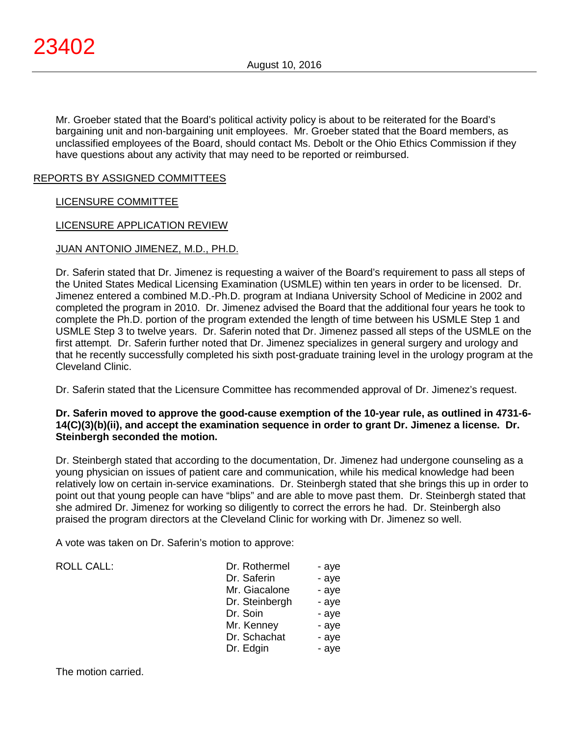Mr. Groeber stated that the Board's political activity policy is about to be reiterated for the Board's bargaining unit and non-bargaining unit employees. Mr. Groeber stated that the Board members, as unclassified employees of the Board, should contact Ms. Debolt or the Ohio Ethics Commission if they have questions about any activity that may need to be reported or reimbursed.

## REPORTS BY ASSIGNED COMMITTEES

## LICENSURE COMMITTEE

## LICENSURE APPLICATION REVIEW

## JUAN ANTONIO JIMENEZ, M.D., PH.D.

Dr. Saferin stated that Dr. Jimenez is requesting a waiver of the Board's requirement to pass all steps of the United States Medical Licensing Examination (USMLE) within ten years in order to be licensed. Dr. Jimenez entered a combined M.D.-Ph.D. program at Indiana University School of Medicine in 2002 and completed the program in 2010. Dr. Jimenez advised the Board that the additional four years he took to complete the Ph.D. portion of the program extended the length of time between his USMLE Step 1 and USMLE Step 3 to twelve years. Dr. Saferin noted that Dr. Jimenez passed all steps of the USMLE on the first attempt. Dr. Saferin further noted that Dr. Jimenez specializes in general surgery and urology and that he recently successfully completed his sixth post-graduate training level in the urology program at the Cleveland Clinic.

Dr. Saferin stated that the Licensure Committee has recommended approval of Dr. Jimenez's request.

## **Dr. Saferin moved to approve the good-cause exemption of the 10-year rule, as outlined in 4731-6- 14(C)(3)(b)(ii), and accept the examination sequence in order to grant Dr. Jimenez a license. Dr. Steinbergh seconded the motion.**

Dr. Steinbergh stated that according to the documentation, Dr. Jimenez had undergone counseling as a young physician on issues of patient care and communication, while his medical knowledge had been relatively low on certain in-service examinations. Dr. Steinbergh stated that she brings this up in order to point out that young people can have "blips" and are able to move past them. Dr. Steinbergh stated that she admired Dr. Jimenez for working so diligently to correct the errors he had. Dr. Steinbergh also praised the program directors at the Cleveland Clinic for working with Dr. Jimenez so well.

A vote was taken on Dr. Saferin's motion to approve:

ROLL CALL:

| Dr. Rothermel  | - aye |
|----------------|-------|
| Dr. Saferin    | - aye |
| Mr. Giacalone  | - aye |
| Dr. Steinbergh | - aye |
| Dr. Soin       | - aye |
| Mr. Kenney     | - aye |
| Dr. Schachat   | - aye |
| Dr. Edgin      | - aye |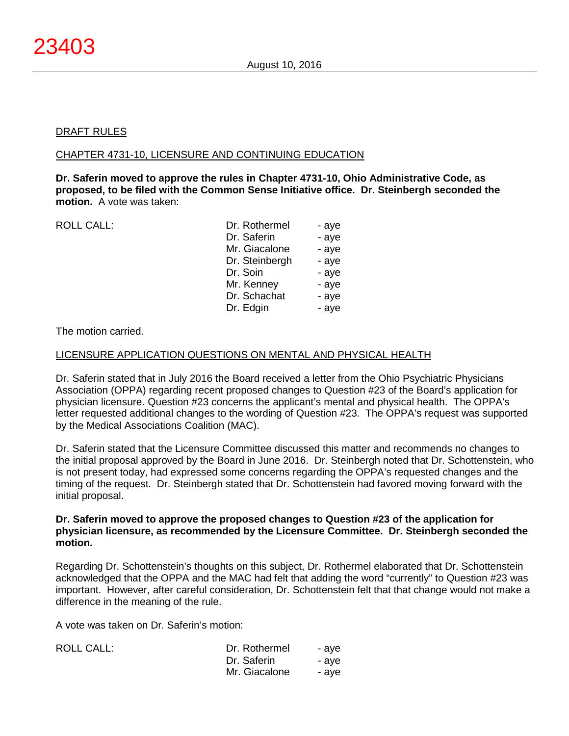### DRAFT RULES

#### CHAPTER 4731-10, LICENSURE AND CONTINUING EDUCATION

**Dr. Saferin moved to approve the rules in Chapter 4731-10, Ohio Administrative Code, as proposed, to be filed with the Common Sense Initiative office. Dr. Steinbergh seconded the motion.** A vote was taken:

ROLL CALL:

| Dr. Rothermel  | - aye |
|----------------|-------|
| Dr. Saferin    | - aye |
| Mr. Giacalone  | - aye |
| Dr. Steinbergh | - aye |
| Dr. Soin       | - aye |
| Mr. Kenney     | - aye |
| Dr. Schachat   | - aye |
| Dr. Edgin      | - aye |
|                |       |

### The motion carried.

#### LICENSURE APPLICATION QUESTIONS ON MENTAL AND PHYSICAL HEALTH

Dr. Saferin stated that in July 2016 the Board received a letter from the Ohio Psychiatric Physicians Association (OPPA) regarding recent proposed changes to Question #23 of the Board's application for physician licensure. Question #23 concerns the applicant's mental and physical health. The OPPA's letter requested additional changes to the wording of Question #23. The OPPA's request was supported by the Medical Associations Coalition (MAC).

Dr. Saferin stated that the Licensure Committee discussed this matter and recommends no changes to the initial proposal approved by the Board in June 2016. Dr. Steinbergh noted that Dr. Schottenstein, who is not present today, had expressed some concerns regarding the OPPA's requested changes and the timing of the request. Dr. Steinbergh stated that Dr. Schottenstein had favored moving forward with the initial proposal.

### **Dr. Saferin moved to approve the proposed changes to Question #23 of the application for physician licensure, as recommended by the Licensure Committee. Dr. Steinbergh seconded the motion.**

Regarding Dr. Schottenstein's thoughts on this subject, Dr. Rothermel elaborated that Dr. Schottenstein acknowledged that the OPPA and the MAC had felt that adding the word "currently" to Question #23 was important. However, after careful consideration, Dr. Schottenstein felt that that change would not make a difference in the meaning of the rule.

A vote was taken on Dr. Saferin's motion:

| ROLL CALL: | Dr. Rothermel | - ave |
|------------|---------------|-------|
|            | Dr. Saferin   | - ave |
|            | Mr. Giacalone | - ave |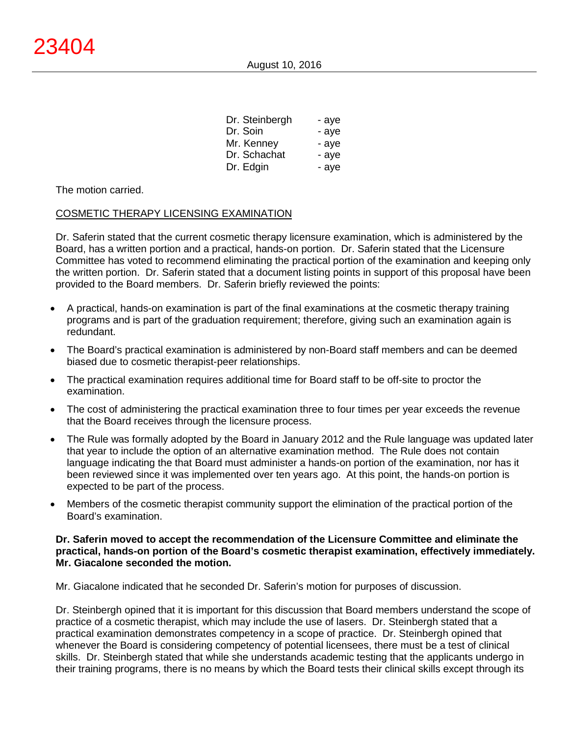August 10, 2016

| Dr. Steinbergh | - aye |
|----------------|-------|
| Dr. Soin       | - aye |
| Mr. Kenney     | - aye |
| Dr. Schachat   | - aye |
| Dr. Edgin      | - aye |

The motion carried.

#### COSMETIC THERAPY LICENSING EXAMINATION

Dr. Saferin stated that the current cosmetic therapy licensure examination, which is administered by the Board, has a written portion and a practical, hands-on portion. Dr. Saferin stated that the Licensure Committee has voted to recommend eliminating the practical portion of the examination and keeping only the written portion. Dr. Saferin stated that a document listing points in support of this proposal have been provided to the Board members. Dr. Saferin briefly reviewed the points:

- A practical, hands-on examination is part of the final examinations at the cosmetic therapy training programs and is part of the graduation requirement; therefore, giving such an examination again is redundant.
- The Board's practical examination is administered by non-Board staff members and can be deemed biased due to cosmetic therapist-peer relationships.
- The practical examination requires additional time for Board staff to be off-site to proctor the examination.
- The cost of administering the practical examination three to four times per year exceeds the revenue that the Board receives through the licensure process.
- The Rule was formally adopted by the Board in January 2012 and the Rule language was updated later that year to include the option of an alternative examination method. The Rule does not contain language indicating the that Board must administer a hands-on portion of the examination, nor has it been reviewed since it was implemented over ten years ago. At this point, the hands-on portion is expected to be part of the process.
- Members of the cosmetic therapist community support the elimination of the practical portion of the Board's examination.

## **Dr. Saferin moved to accept the recommendation of the Licensure Committee and eliminate the practical, hands-on portion of the Board's cosmetic therapist examination, effectively immediately. Mr. Giacalone seconded the motion.**

Mr. Giacalone indicated that he seconded Dr. Saferin's motion for purposes of discussion.

Dr. Steinbergh opined that it is important for this discussion that Board members understand the scope of practice of a cosmetic therapist, which may include the use of lasers. Dr. Steinbergh stated that a practical examination demonstrates competency in a scope of practice. Dr. Steinbergh opined that whenever the Board is considering competency of potential licensees, there must be a test of clinical skills. Dr. Steinbergh stated that while she understands academic testing that the applicants undergo in their training programs, there is no means by which the Board tests their clinical skills except through its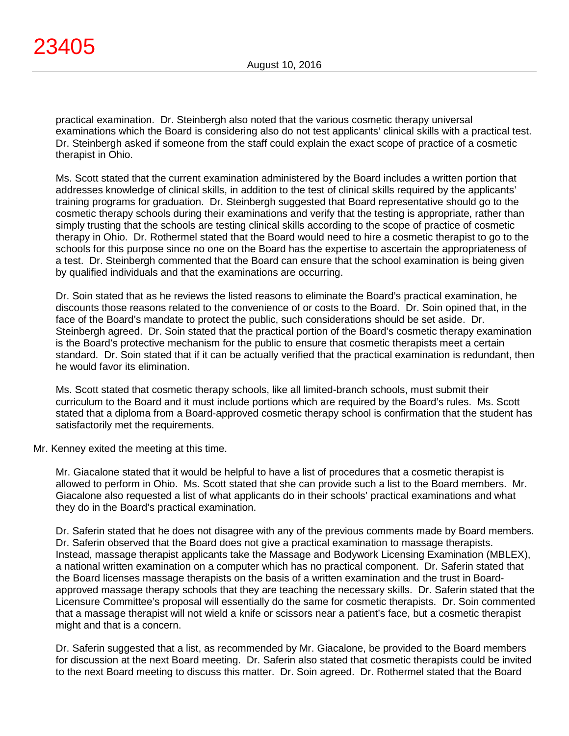practical examination. Dr. Steinbergh also noted that the various cosmetic therapy universal examinations which the Board is considering also do not test applicants' clinical skills with a practical test. Dr. Steinbergh asked if someone from the staff could explain the exact scope of practice of a cosmetic therapist in Ohio.

Ms. Scott stated that the current examination administered by the Board includes a written portion that addresses knowledge of clinical skills, in addition to the test of clinical skills required by the applicants' training programs for graduation. Dr. Steinbergh suggested that Board representative should go to the cosmetic therapy schools during their examinations and verify that the testing is appropriate, rather than simply trusting that the schools are testing clinical skills according to the scope of practice of cosmetic therapy in Ohio. Dr. Rothermel stated that the Board would need to hire a cosmetic therapist to go to the schools for this purpose since no one on the Board has the expertise to ascertain the appropriateness of a test. Dr. Steinbergh commented that the Board can ensure that the school examination is being given by qualified individuals and that the examinations are occurring.

Dr. Soin stated that as he reviews the listed reasons to eliminate the Board's practical examination, he discounts those reasons related to the convenience of or costs to the Board. Dr. Soin opined that, in the face of the Board's mandate to protect the public, such considerations should be set aside. Dr. Steinbergh agreed. Dr. Soin stated that the practical portion of the Board's cosmetic therapy examination is the Board's protective mechanism for the public to ensure that cosmetic therapists meet a certain standard. Dr. Soin stated that if it can be actually verified that the practical examination is redundant, then he would favor its elimination.

Ms. Scott stated that cosmetic therapy schools, like all limited-branch schools, must submit their curriculum to the Board and it must include portions which are required by the Board's rules. Ms. Scott stated that a diploma from a Board-approved cosmetic therapy school is confirmation that the student has satisfactorily met the requirements.

Mr. Kenney exited the meeting at this time.

Mr. Giacalone stated that it would be helpful to have a list of procedures that a cosmetic therapist is allowed to perform in Ohio. Ms. Scott stated that she can provide such a list to the Board members. Mr. Giacalone also requested a list of what applicants do in their schools' practical examinations and what they do in the Board's practical examination.

Dr. Saferin stated that he does not disagree with any of the previous comments made by Board members. Dr. Saferin observed that the Board does not give a practical examination to massage therapists. Instead, massage therapist applicants take the Massage and Bodywork Licensing Examination (MBLEX), a national written examination on a computer which has no practical component. Dr. Saferin stated that the Board licenses massage therapists on the basis of a written examination and the trust in Boardapproved massage therapy schools that they are teaching the necessary skills. Dr. Saferin stated that the Licensure Committee's proposal will essentially do the same for cosmetic therapists. Dr. Soin commented that a massage therapist will not wield a knife or scissors near a patient's face, but a cosmetic therapist might and that is a concern.

Dr. Saferin suggested that a list, as recommended by Mr. Giacalone, be provided to the Board members for discussion at the next Board meeting. Dr. Saferin also stated that cosmetic therapists could be invited to the next Board meeting to discuss this matter. Dr. Soin agreed. Dr. Rothermel stated that the Board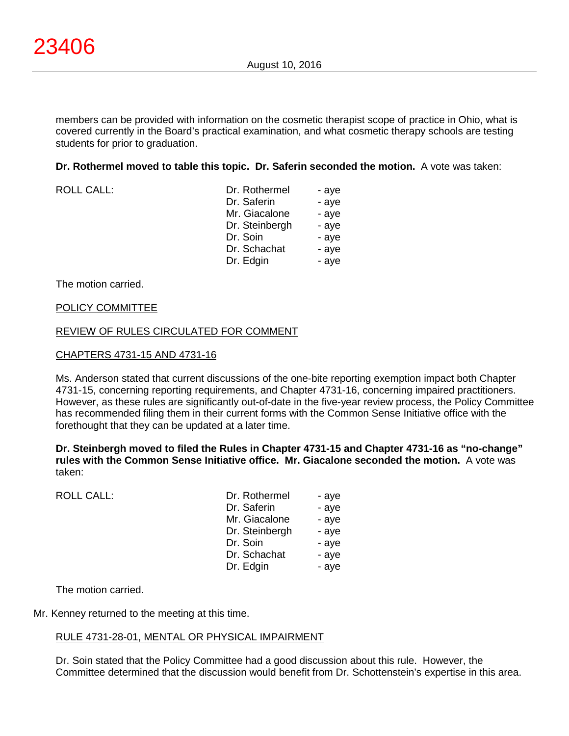members can be provided with information on the cosmetic therapist scope of practice in Ohio, what is covered currently in the Board's practical examination, and what cosmetic therapy schools are testing students for prior to graduation.

**Dr. Rothermel moved to table this topic. Dr. Saferin seconded the motion.** A vote was taken:

ROLL CALL:

| Dr. Rothermel  | - aye |
|----------------|-------|
| Dr. Saferin    | - aye |
| Mr. Giacalone  | - aye |
| Dr. Steinbergh | - aye |
| Dr. Soin       | - aye |
| Dr. Schachat   | - aye |
| Dr. Edgin      | - aye |

The motion carried.

#### POLICY COMMITTEE

#### REVIEW OF RULES CIRCULATED FOR COMMENT

#### CHAPTERS 4731-15 AND 4731-16

Ms. Anderson stated that current discussions of the one-bite reporting exemption impact both Chapter 4731-15, concerning reporting requirements, and Chapter 4731-16, concerning impaired practitioners. However, as these rules are significantly out-of-date in the five-year review process, the Policy Committee has recommended filing them in their current forms with the Common Sense Initiative office with the forethought that they can be updated at a later time.

**Dr. Steinbergh moved to filed the Rules in Chapter 4731-15 and Chapter 4731-16 as "no-change" rules with the Common Sense Initiative office. Mr. Giacalone seconded the motion.** A vote was taken:

| <b>ROLL CALL:</b> | Dr. Rothermel<br>Dr. Saferin<br>Mr. Giacalone<br>Dr. Steinbergh<br>Dr. Soin<br>Dr. Schachat | - aye<br>- aye<br>- aye<br>- aye<br>- aye<br>- aye |
|-------------------|---------------------------------------------------------------------------------------------|----------------------------------------------------|
|                   | Dr. Edgin                                                                                   | - aye                                              |
|                   |                                                                                             |                                                    |

The motion carried.

Mr. Kenney returned to the meeting at this time.

### RULE 4731-28-01, MENTAL OR PHYSICAL IMPAIRMENT

Dr. Soin stated that the Policy Committee had a good discussion about this rule. However, the Committee determined that the discussion would benefit from Dr. Schottenstein's expertise in this area.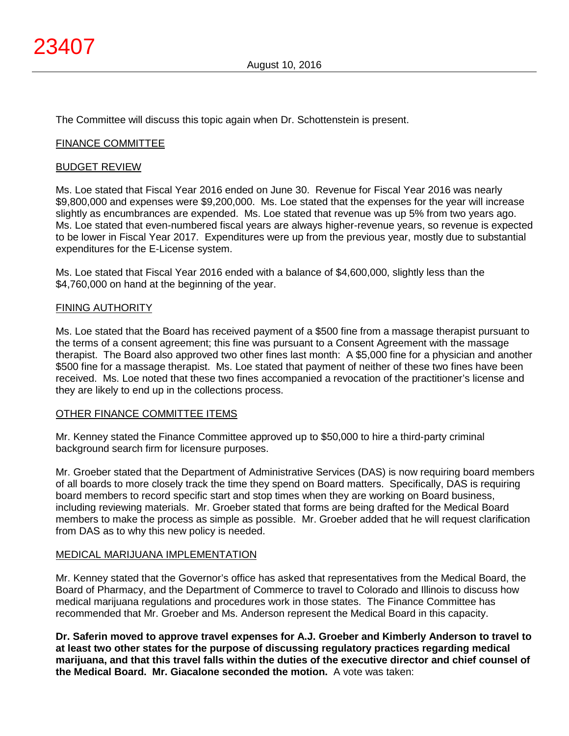The Committee will discuss this topic again when Dr. Schottenstein is present.

## FINANCE COMMITTEE

#### BUDGET REVIEW

Ms. Loe stated that Fiscal Year 2016 ended on June 30. Revenue for Fiscal Year 2016 was nearly \$9,800,000 and expenses were \$9,200,000. Ms. Loe stated that the expenses for the year will increase slightly as encumbrances are expended. Ms. Loe stated that revenue was up 5% from two years ago. Ms. Loe stated that even-numbered fiscal years are always higher-revenue years, so revenue is expected to be lower in Fiscal Year 2017. Expenditures were up from the previous year, mostly due to substantial expenditures for the E-License system.

Ms. Loe stated that Fiscal Year 2016 ended with a balance of \$4,600,000, slightly less than the \$4,760,000 on hand at the beginning of the year.

### FINING AUTHORITY

Ms. Loe stated that the Board has received payment of a \$500 fine from a massage therapist pursuant to the terms of a consent agreement; this fine was pursuant to a Consent Agreement with the massage therapist. The Board also approved two other fines last month: A \$5,000 fine for a physician and another \$500 fine for a massage therapist. Ms. Loe stated that payment of neither of these two fines have been received. Ms. Loe noted that these two fines accompanied a revocation of the practitioner's license and they are likely to end up in the collections process.

### OTHER FINANCE COMMITTEE ITEMS

Mr. Kenney stated the Finance Committee approved up to \$50,000 to hire a third-party criminal background search firm for licensure purposes.

Mr. Groeber stated that the Department of Administrative Services (DAS) is now requiring board members of all boards to more closely track the time they spend on Board matters. Specifically, DAS is requiring board members to record specific start and stop times when they are working on Board business, including reviewing materials. Mr. Groeber stated that forms are being drafted for the Medical Board members to make the process as simple as possible. Mr. Groeber added that he will request clarification from DAS as to why this new policy is needed.

### MEDICAL MARIJUANA IMPLEMENTATION

Mr. Kenney stated that the Governor's office has asked that representatives from the Medical Board, the Board of Pharmacy, and the Department of Commerce to travel to Colorado and Illinois to discuss how medical marijuana regulations and procedures work in those states. The Finance Committee has recommended that Mr. Groeber and Ms. Anderson represent the Medical Board in this capacity.

**Dr. Saferin moved to approve travel expenses for A.J. Groeber and Kimberly Anderson to travel to at least two other states for the purpose of discussing regulatory practices regarding medical marijuana, and that this travel falls within the duties of the executive director and chief counsel of the Medical Board. Mr. Giacalone seconded the motion.** A vote was taken: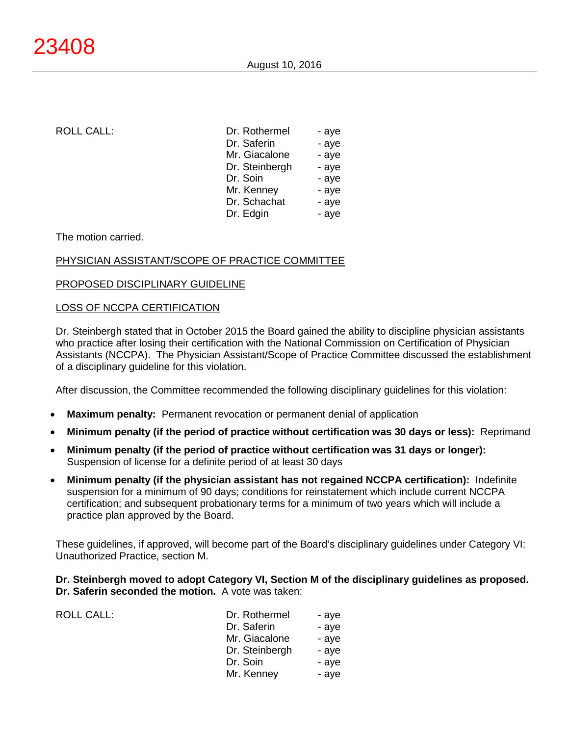ROLL CALL:

| Dr. Rothermel  | - aye |
|----------------|-------|
| Dr. Saferin    | - aye |
| Mr. Giacalone  | - aye |
| Dr. Steinbergh | - aye |
| Dr. Soin       | - aye |
| Mr. Kenney     | - aye |
| Dr. Schachat   | - aye |
| Dr. Edgin      | - aye |
|                |       |

The motion carried.

## PHYSICIAN ASSISTANT/SCOPE OF PRACTICE COMMITTEE

### PROPOSED DISCIPLINARY GUIDELINE

### LOSS OF NCCPA CERTIFICATION

Dr. Steinbergh stated that in October 2015 the Board gained the ability to discipline physician assistants who practice after losing their certification with the National Commission on Certification of Physician Assistants (NCCPA). The Physician Assistant/Scope of Practice Committee discussed the establishment of a disciplinary guideline for this violation.

After discussion, the Committee recommended the following disciplinary guidelines for this violation:

- **Maximum penalty:** Permanent revocation or permanent denial of application
- **Minimum penalty (if the period of practice without certification was 30 days or less):** Reprimand
- **Minimum penalty (if the period of practice without certification was 31 days or longer):** Suspension of license for a definite period of at least 30 days
- **Minimum penalty (if the physician assistant has not regained NCCPA certification):** Indefinite suspension for a minimum of 90 days; conditions for reinstatement which include current NCCPA certification; and subsequent probationary terms for a minimum of two years which will include a practice plan approved by the Board.

These guidelines, if approved, will become part of the Board's disciplinary guidelines under Category VI: Unauthorized Practice, section M.

**Dr. Steinbergh moved to adopt Category VI, Section M of the disciplinary guidelines as proposed. Dr. Saferin seconded the motion.** A vote was taken:

| <b>ROLL CALL:</b> | Dr. Rothermel  | - ave |
|-------------------|----------------|-------|
|                   | Dr. Saferin    | - aye |
|                   | Mr. Giacalone  | - aye |
|                   | Dr. Steinbergh | - ave |
|                   | Dr. Soin       | - aye |
|                   | Mr. Kenney     | - aye |
|                   |                |       |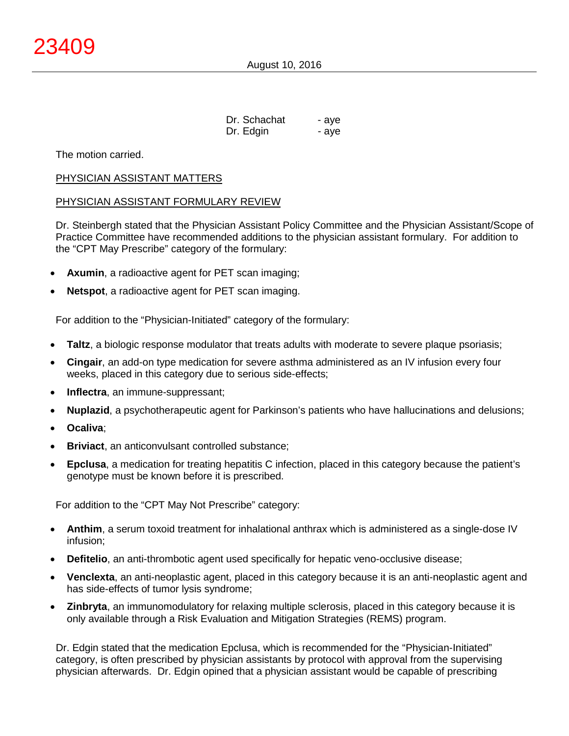| Dr. Schachat | - aye |
|--------------|-------|
| Dr. Edgin    | - aye |

The motion carried.

### PHYSICIAN ASSISTANT MATTERS

#### PHYSICIAN ASSISTANT FORMULARY REVIEW

Dr. Steinbergh stated that the Physician Assistant Policy Committee and the Physician Assistant/Scope of Practice Committee have recommended additions to the physician assistant formulary. For addition to the "CPT May Prescribe" category of the formulary:

- **Axumin**, a radioactive agent for PET scan imaging;
- **Netspot**, a radioactive agent for PET scan imaging.

For addition to the "Physician-Initiated" category of the formulary:

- **Taltz**, a biologic response modulator that treats adults with moderate to severe plaque psoriasis;
- **Cingair**, an add-on type medication for severe asthma administered as an IV infusion every four weeks, placed in this category due to serious side-effects;
- **Inflectra**, an immune-suppressant;
- **Nuplazid**, a psychotherapeutic agent for Parkinson's patients who have hallucinations and delusions;
- **Ocaliva**;
- **Briviact**, an anticonvulsant controlled substance:
- **Epclusa**, a medication for treating hepatitis C infection, placed in this category because the patient's genotype must be known before it is prescribed.

For addition to the "CPT May Not Prescribe" category:

- **Anthim**, a serum toxoid treatment for inhalational anthrax which is administered as a single-dose IV infusion;
- **Defitelio**, an anti-thrombotic agent used specifically for hepatic veno-occlusive disease;
- **Venclexta**, an anti-neoplastic agent, placed in this category because it is an anti-neoplastic agent and has side-effects of tumor lysis syndrome;
- **Zinbryta**, an immunomodulatory for relaxing multiple sclerosis, placed in this category because it is only available through a Risk Evaluation and Mitigation Strategies (REMS) program.

 Dr. Edgin stated that the medication Epclusa, which is recommended for the "Physician-Initiated" category, is often prescribed by physician assistants by protocol with approval from the supervising physician afterwards. Dr. Edgin opined that a physician assistant would be capable of prescribing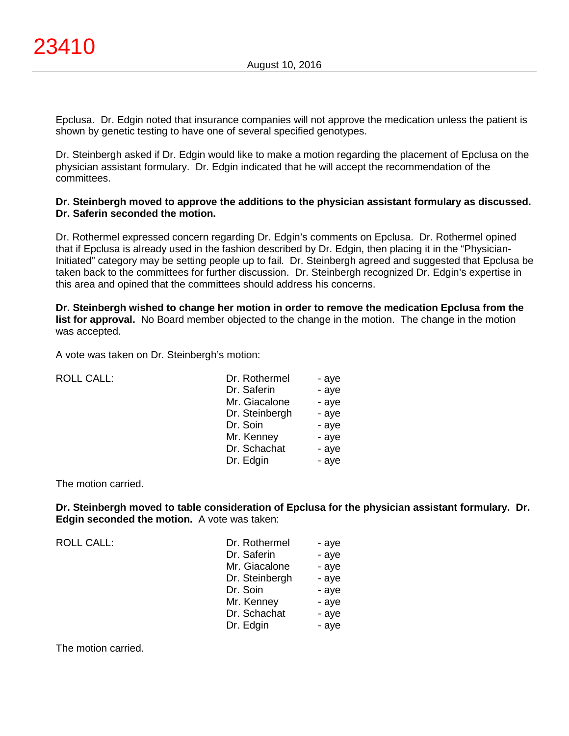Epclusa. Dr. Edgin noted that insurance companies will not approve the medication unless the patient is shown by genetic testing to have one of several specified genotypes.

Dr. Steinbergh asked if Dr. Edgin would like to make a motion regarding the placement of Epclusa on the physician assistant formulary. Dr. Edgin indicated that he will accept the recommendation of the committees.

## **Dr. Steinbergh moved to approve the additions to the physician assistant formulary as discussed. Dr. Saferin seconded the motion.**

Dr. Rothermel expressed concern regarding Dr. Edgin's comments on Epclusa. Dr. Rothermel opined that if Epclusa is already used in the fashion described by Dr. Edgin, then placing it in the "Physician-Initiated" category may be setting people up to fail. Dr. Steinbergh agreed and suggested that Epclusa be taken back to the committees for further discussion. Dr. Steinbergh recognized Dr. Edgin's expertise in this area and opined that the committees should address his concerns.

**Dr. Steinbergh wished to change her motion in order to remove the medication Epclusa from the list for approval.** No Board member objected to the change in the motion. The change in the motion was accepted.

A vote was taken on Dr. Steinbergh's motion:

| <b>ROLL CALL:</b> | Dr. Rothermel  | - aye |
|-------------------|----------------|-------|
|                   | Dr. Saferin    | - aye |
|                   | Mr. Giacalone  | - aye |
|                   | Dr. Steinbergh | - aye |
|                   | Dr. Soin       | - aye |
|                   | Mr. Kenney     | - aye |
|                   | Dr. Schachat   | - aye |
|                   | Dr. Edgin      | - aye |
|                   |                |       |

### The motion carried.

**Dr. Steinbergh moved to table consideration of Epclusa for the physician assistant formulary. Dr. Edgin seconded the motion.** A vote was taken:

ROLL CALL:

| Dr. Rothermel  | - aye |
|----------------|-------|
| Dr. Saferin    | - aye |
| Mr. Giacalone  | - aye |
| Dr. Steinbergh | - aye |
| Dr. Soin       | - aye |
| Mr. Kenney     | - aye |
| Dr. Schachat   | - aye |
| Dr. Edgin      | - aye |

The motion carried.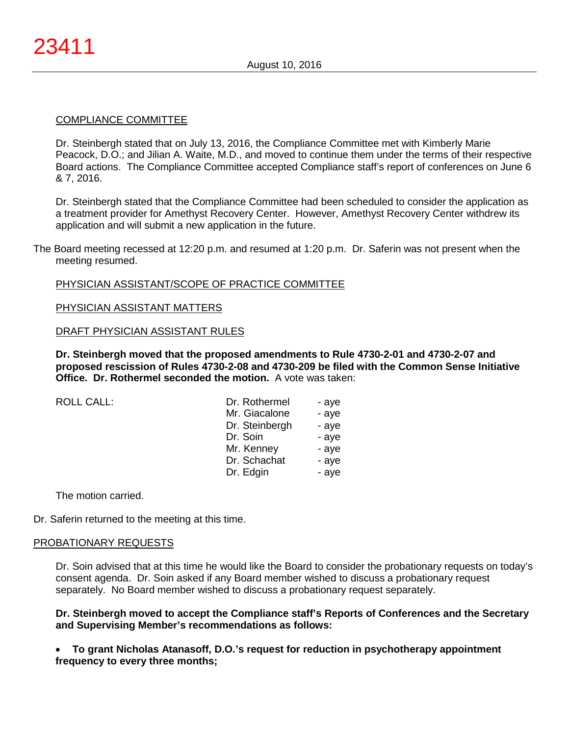### COMPLIANCE COMMITTEE

Dr. Steinbergh stated that on July 13, 2016, the Compliance Committee met with Kimberly Marie Peacock, D.O.; and Jilian A. Waite, M.D., and moved to continue them under the terms of their respective Board actions. The Compliance Committee accepted Compliance staff's report of conferences on June 6 & 7, 2016.

Dr. Steinbergh stated that the Compliance Committee had been scheduled to consider the application as a treatment provider for Amethyst Recovery Center. However, Amethyst Recovery Center withdrew its application and will submit a new application in the future.

The Board meeting recessed at 12:20 p.m. and resumed at 1:20 p.m. Dr. Saferin was not present when the meeting resumed.

### PHYSICIAN ASSISTANT/SCOPE OF PRACTICE COMMITTEE

### PHYSICIAN ASSISTANT MATTERS

DRAFT PHYSICIAN ASSISTANT RULES

**Dr. Steinbergh moved that the proposed amendments to Rule 4730-2-01 and 4730-2-07 and proposed rescission of Rules 4730-2-08 and 4730-209 be filed with the Common Sense Initiative Office. Dr. Rothermel seconded the motion.** A vote was taken:

ROLL CALL:

| Dr. Rothermel  | - aye |
|----------------|-------|
| Mr. Giacalone  | - aye |
| Dr. Steinbergh | - aye |
| Dr. Soin       | - aye |
| Mr. Kenney     | - aye |
| Dr. Schachat   | - aye |
| Dr. Edgin      | - aye |

The motion carried.

Dr. Saferin returned to the meeting at this time.

### PROBATIONARY REQUESTS

Dr. Soin advised that at this time he would like the Board to consider the probationary requests on today's consent agenda. Dr. Soin asked if any Board member wished to discuss a probationary request separately. No Board member wished to discuss a probationary request separately.

### **Dr. Steinbergh moved to accept the Compliance staff's Reports of Conferences and the Secretary and Supervising Member's recommendations as follows:**

• **To grant Nicholas Atanasoff, D.O.'s request for reduction in psychotherapy appointment frequency to every three months;**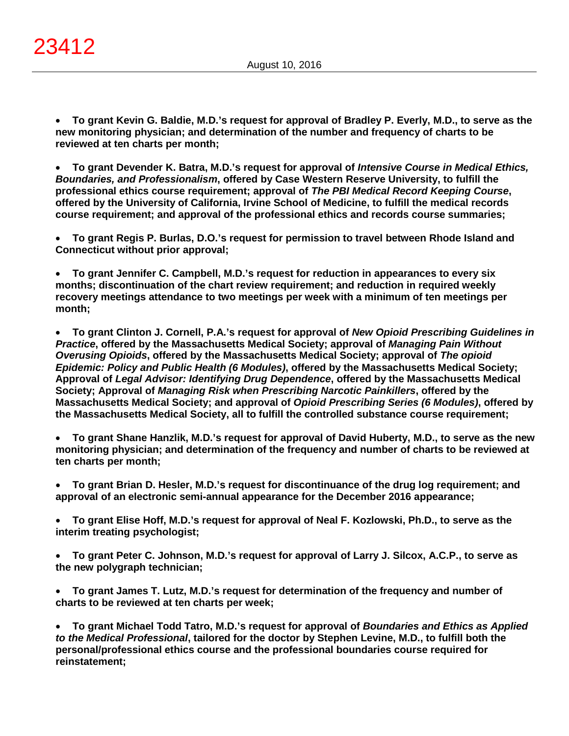• **To grant Kevin G. Baldie, M.D.'s request for approval of Bradley P. Everly, M.D., to serve as the new monitoring physician; and determination of the number and frequency of charts to be reviewed at ten charts per month;**

• **To grant Devender K. Batra, M.D.'s request for approval of** *Intensive Course in Medical Ethics, Boundaries, and Professionalism***, offered by Case Western Reserve University, to fulfill the professional ethics course requirement; approval of** *The PBI Medical Record Keeping Course***, offered by the University of California, Irvine School of Medicine, to fulfill the medical records course requirement; and approval of the professional ethics and records course summaries;**

• **To grant Regis P. Burlas, D.O.'s request for permission to travel between Rhode Island and Connecticut without prior approval;**

• **To grant Jennifer C. Campbell, M.D.'s request for reduction in appearances to every six months; discontinuation of the chart review requirement; and reduction in required weekly recovery meetings attendance to two meetings per week with a minimum of ten meetings per month;**

• **To grant Clinton J. Cornell, P.A.'s request for approval of** *New Opioid Prescribing Guidelines in Practice***, offered by the Massachusetts Medical Society; approval of** *Managing Pain Without Overusing Opioids***, offered by the Massachusetts Medical Society; approval of** *The opioid Epidemic: Policy and Public Health (6 Modules)***, offered by the Massachusetts Medical Society; Approval of** *Legal Advisor: Identifying Drug Dependence***, offered by the Massachusetts Medical Society; Approval of** *Managing Risk when Prescribing Narcotic Painkillers***, offered by the Massachusetts Medical Society; and approval of** *Opioid Prescribing Series (6 Modules)***, offered by the Massachusetts Medical Society, all to fulfill the controlled substance course requirement;**

• **To grant Shane Hanzlik, M.D.'s request for approval of David Huberty, M.D., to serve as the new monitoring physician; and determination of the frequency and number of charts to be reviewed at ten charts per month;**

• **To grant Brian D. Hesler, M.D.'s request for discontinuance of the drug log requirement; and approval of an electronic semi-annual appearance for the December 2016 appearance;**

• **To grant Elise Hoff, M.D.'s request for approval of Neal F. Kozlowski, Ph.D., to serve as the interim treating psychologist;**

• **To grant Peter C. Johnson, M.D.'s request for approval of Larry J. Silcox, A.C.P., to serve as the new polygraph technician;**

• **To grant James T. Lutz, M.D.'s request for determination of the frequency and number of charts to be reviewed at ten charts per week;**

• **To grant Michael Todd Tatro, M.D.'s request for approval of** *Boundaries and Ethics as Applied to the Medical Professional***, tailored for the doctor by Stephen Levine, M.D., to fulfill both the personal/professional ethics course and the professional boundaries course required for reinstatement;**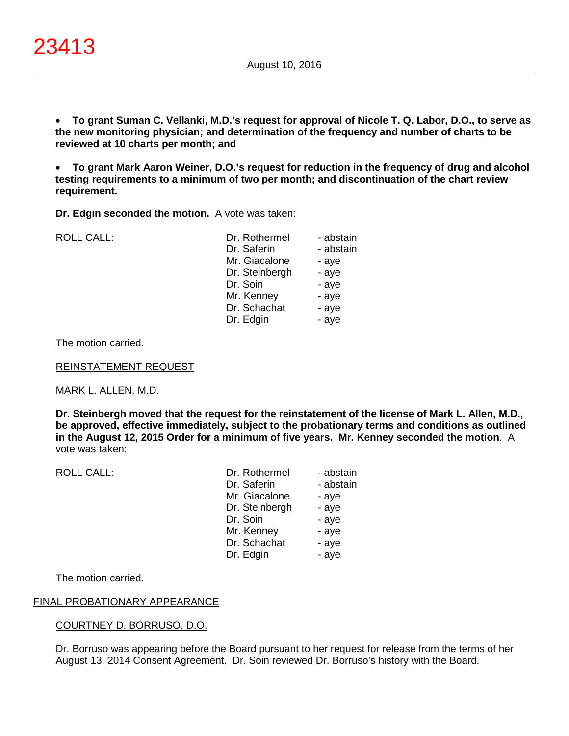• **To grant Suman C. Vellanki, M.D.'s request for approval of Nicole T. Q. Labor, D.O., to serve as the new monitoring physician; and determination of the frequency and number of charts to be reviewed at 10 charts per month; and**

• **To grant Mark Aaron Weiner, D.O.'s request for reduction in the frequency of drug and alcohol testing requirements to a minimum of two per month; and discontinuation of the chart review requirement.**

**Dr. Edgin seconded the motion.** A vote was taken:

ROLL CALL: Dr. Rothermel - abstain

| DI. RUURIIIEI  | - dusidili |
|----------------|------------|
| Dr. Saferin    | - abstain  |
| Mr. Giacalone  | - aye      |
| Dr. Steinbergh | - aye      |
| Dr. Soin       | - aye      |
| Mr. Kenney     | - aye      |
| Dr. Schachat   | - aye      |
| Dr. Edgin      | - aye      |
|                |            |

The motion carried.

REINSTATEMENT REQUEST

### MARK L. ALLEN, M.D.

**Dr. Steinbergh moved that the request for the reinstatement of the license of Mark L. Allen, M.D., be approved, effective immediately, subject to the probationary terms and conditions as outlined in the August 12, 2015 Order for a minimum of five years. Mr. Kenney seconded the motion**. A vote was taken:

| <b>ROLL CALL:</b> | Dr. Rothermel  | - abstain |
|-------------------|----------------|-----------|
|                   | Dr. Saferin    | - abstain |
|                   | Mr. Giacalone  | - aye     |
|                   | Dr. Steinbergh | - aye     |
|                   | Dr. Soin       | - aye     |
|                   | Mr. Kenney     | - aye     |
|                   | Dr. Schachat   | - aye     |
|                   | Dr. Edgin      | - aye     |
|                   |                |           |

The motion carried.

### FINAL PROBATIONARY APPEARANCE

### COURTNEY D. BORRUSO, D.O.

Dr. Borruso was appearing before the Board pursuant to her request for release from the terms of her August 13, 2014 Consent Agreement. Dr. Soin reviewed Dr. Borruso's history with the Board.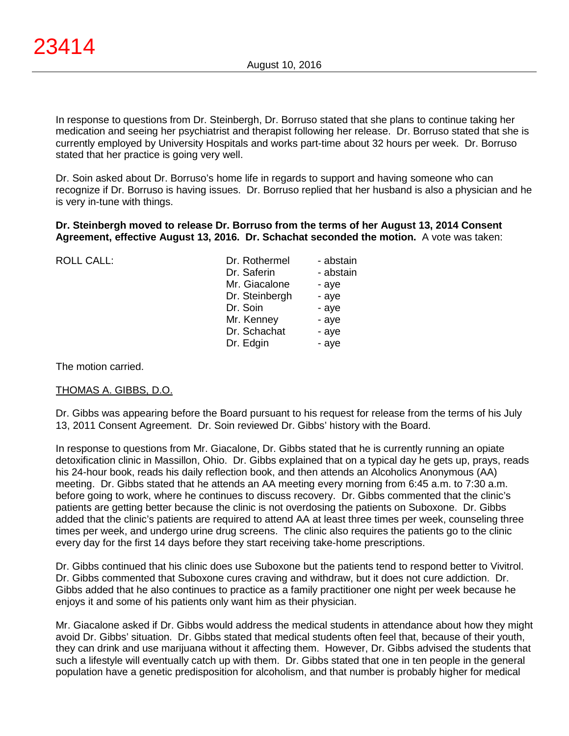In response to questions from Dr. Steinbergh, Dr. Borruso stated that she plans to continue taking her medication and seeing her psychiatrist and therapist following her release. Dr. Borruso stated that she is currently employed by University Hospitals and works part-time about 32 hours per week. Dr. Borruso stated that her practice is going very well.

Dr. Soin asked about Dr. Borruso's home life in regards to support and having someone who can recognize if Dr. Borruso is having issues. Dr. Borruso replied that her husband is also a physician and he is very in-tune with things.

## **Dr. Steinbergh moved to release Dr. Borruso from the terms of her August 13, 2014 Consent Agreement, effective August 13, 2016. Dr. Schachat seconded the motion.** A vote was taken:

| <b>ROLL CALL:</b> | Dr. Rothermel  | - abstain |
|-------------------|----------------|-----------|
|                   | Dr. Saferin    | - abstain |
|                   | Mr. Giacalone  | - aye     |
|                   | Dr. Steinbergh | - aye     |
|                   | Dr. Soin       | - aye     |
|                   | Mr. Kenney     | - aye     |
|                   | Dr. Schachat   | - aye     |
|                   | Dr. Edgin      | - aye     |
|                   |                |           |

## The motion carried.

# THOMAS A. GIBBS, D.O.

Dr. Gibbs was appearing before the Board pursuant to his request for release from the terms of his July 13, 2011 Consent Agreement. Dr. Soin reviewed Dr. Gibbs' history with the Board.

In response to questions from Mr. Giacalone, Dr. Gibbs stated that he is currently running an opiate detoxification clinic in Massillon, Ohio. Dr. Gibbs explained that on a typical day he gets up, prays, reads his 24-hour book, reads his daily reflection book, and then attends an Alcoholics Anonymous (AA) meeting. Dr. Gibbs stated that he attends an AA meeting every morning from 6:45 a.m. to 7:30 a.m. before going to work, where he continues to discuss recovery. Dr. Gibbs commented that the clinic's patients are getting better because the clinic is not overdosing the patients on Suboxone. Dr. Gibbs added that the clinic's patients are required to attend AA at least three times per week, counseling three times per week, and undergo urine drug screens. The clinic also requires the patients go to the clinic every day for the first 14 days before they start receiving take-home prescriptions.

Dr. Gibbs continued that his clinic does use Suboxone but the patients tend to respond better to Vivitrol. Dr. Gibbs commented that Suboxone cures craving and withdraw, but it does not cure addiction. Dr. Gibbs added that he also continues to practice as a family practitioner one night per week because he enjoys it and some of his patients only want him as their physician.

Mr. Giacalone asked if Dr. Gibbs would address the medical students in attendance about how they might avoid Dr. Gibbs' situation. Dr. Gibbs stated that medical students often feel that, because of their youth, they can drink and use marijuana without it affecting them. However, Dr. Gibbs advised the students that such a lifestyle will eventually catch up with them. Dr. Gibbs stated that one in ten people in the general population have a genetic predisposition for alcoholism, and that number is probably higher for medical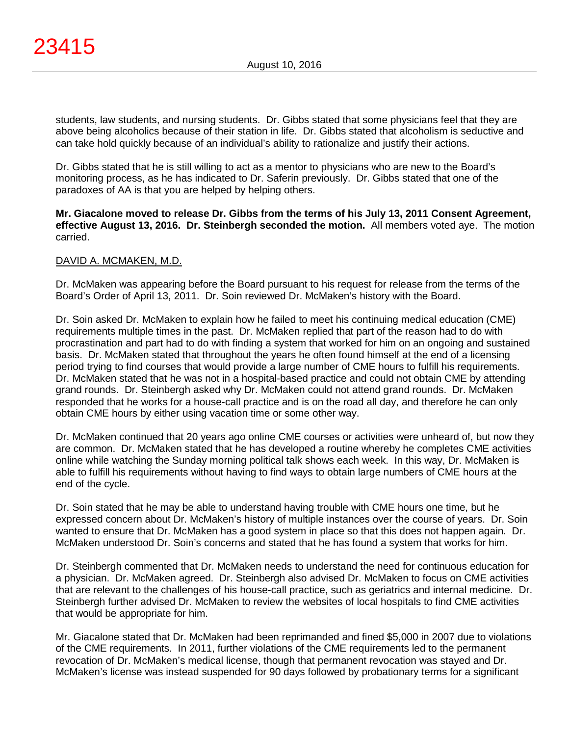students, law students, and nursing students. Dr. Gibbs stated that some physicians feel that they are above being alcoholics because of their station in life. Dr. Gibbs stated that alcoholism is seductive and can take hold quickly because of an individual's ability to rationalize and justify their actions.

Dr. Gibbs stated that he is still willing to act as a mentor to physicians who are new to the Board's monitoring process, as he has indicated to Dr. Saferin previously. Dr. Gibbs stated that one of the paradoxes of AA is that you are helped by helping others.

**Mr. Giacalone moved to release Dr. Gibbs from the terms of his July 13, 2011 Consent Agreement, effective August 13, 2016. Dr. Steinbergh seconded the motion.** All members voted aye. The motion carried.

# DAVID A. MCMAKEN, M.D.

Dr. McMaken was appearing before the Board pursuant to his request for release from the terms of the Board's Order of April 13, 2011. Dr. Soin reviewed Dr. McMaken's history with the Board.

Dr. Soin asked Dr. McMaken to explain how he failed to meet his continuing medical education (CME) requirements multiple times in the past. Dr. McMaken replied that part of the reason had to do with procrastination and part had to do with finding a system that worked for him on an ongoing and sustained basis. Dr. McMaken stated that throughout the years he often found himself at the end of a licensing period trying to find courses that would provide a large number of CME hours to fulfill his requirements. Dr. McMaken stated that he was not in a hospital-based practice and could not obtain CME by attending grand rounds. Dr. Steinbergh asked why Dr. McMaken could not attend grand rounds. Dr. McMaken responded that he works for a house-call practice and is on the road all day, and therefore he can only obtain CME hours by either using vacation time or some other way.

Dr. McMaken continued that 20 years ago online CME courses or activities were unheard of, but now they are common. Dr. McMaken stated that he has developed a routine whereby he completes CME activities online while watching the Sunday morning political talk shows each week. In this way, Dr. McMaken is able to fulfill his requirements without having to find ways to obtain large numbers of CME hours at the end of the cycle.

Dr. Soin stated that he may be able to understand having trouble with CME hours one time, but he expressed concern about Dr. McMaken's history of multiple instances over the course of years. Dr. Soin wanted to ensure that Dr. McMaken has a good system in place so that this does not happen again. Dr. McMaken understood Dr. Soin's concerns and stated that he has found a system that works for him.

Dr. Steinbergh commented that Dr. McMaken needs to understand the need for continuous education for a physician. Dr. McMaken agreed. Dr. Steinbergh also advised Dr. McMaken to focus on CME activities that are relevant to the challenges of his house-call practice, such as geriatrics and internal medicine. Dr. Steinbergh further advised Dr. McMaken to review the websites of local hospitals to find CME activities that would be appropriate for him.

Mr. Giacalone stated that Dr. McMaken had been reprimanded and fined \$5,000 in 2007 due to violations of the CME requirements. In 2011, further violations of the CME requirements led to the permanent revocation of Dr. McMaken's medical license, though that permanent revocation was stayed and Dr. McMaken's license was instead suspended for 90 days followed by probationary terms for a significant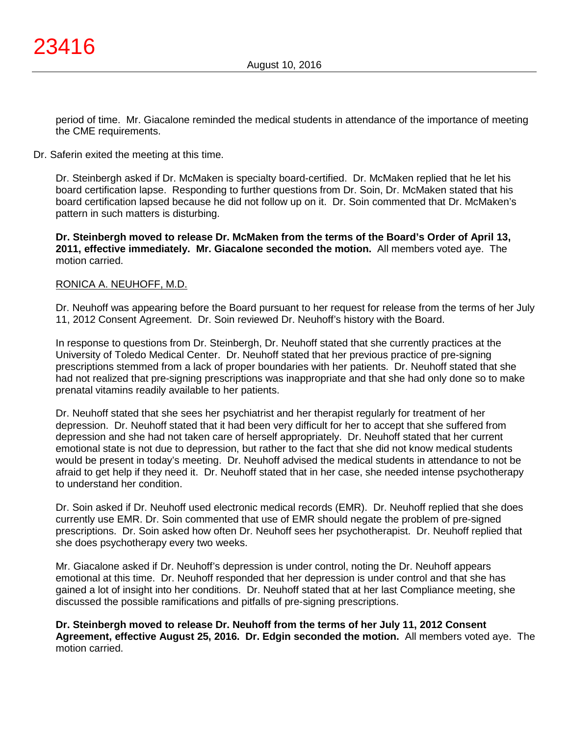period of time. Mr. Giacalone reminded the medical students in attendance of the importance of meeting the CME requirements.

Dr. Saferin exited the meeting at this time.

Dr. Steinbergh asked if Dr. McMaken is specialty board-certified. Dr. McMaken replied that he let his board certification lapse. Responding to further questions from Dr. Soin, Dr. McMaken stated that his board certification lapsed because he did not follow up on it. Dr. Soin commented that Dr. McMaken's pattern in such matters is disturbing.

**Dr. Steinbergh moved to release Dr. McMaken from the terms of the Board's Order of April 13, 2011, effective immediately. Mr. Giacalone seconded the motion.** All members voted aye. The motion carried.

## RONICA A. NEUHOFF, M.D.

Dr. Neuhoff was appearing before the Board pursuant to her request for release from the terms of her July 11, 2012 Consent Agreement. Dr. Soin reviewed Dr. Neuhoff's history with the Board.

In response to questions from Dr. Steinbergh, Dr. Neuhoff stated that she currently practices at the University of Toledo Medical Center. Dr. Neuhoff stated that her previous practice of pre-signing prescriptions stemmed from a lack of proper boundaries with her patients. Dr. Neuhoff stated that she had not realized that pre-signing prescriptions was inappropriate and that she had only done so to make prenatal vitamins readily available to her patients.

Dr. Neuhoff stated that she sees her psychiatrist and her therapist regularly for treatment of her depression. Dr. Neuhoff stated that it had been very difficult for her to accept that she suffered from depression and she had not taken care of herself appropriately. Dr. Neuhoff stated that her current emotional state is not due to depression, but rather to the fact that she did not know medical students would be present in today's meeting. Dr. Neuhoff advised the medical students in attendance to not be afraid to get help if they need it. Dr. Neuhoff stated that in her case, she needed intense psychotherapy to understand her condition.

Dr. Soin asked if Dr. Neuhoff used electronic medical records (EMR). Dr. Neuhoff replied that she does currently use EMR. Dr. Soin commented that use of EMR should negate the problem of pre-signed prescriptions. Dr. Soin asked how often Dr. Neuhoff sees her psychotherapist. Dr. Neuhoff replied that she does psychotherapy every two weeks.

Mr. Giacalone asked if Dr. Neuhoff's depression is under control, noting the Dr. Neuhoff appears emotional at this time. Dr. Neuhoff responded that her depression is under control and that she has gained a lot of insight into her conditions. Dr. Neuhoff stated that at her last Compliance meeting, she discussed the possible ramifications and pitfalls of pre-signing prescriptions.

**Dr. Steinbergh moved to release Dr. Neuhoff from the terms of her July 11, 2012 Consent Agreement, effective August 25, 2016. Dr. Edgin seconded the motion.** All members voted aye. The motion carried.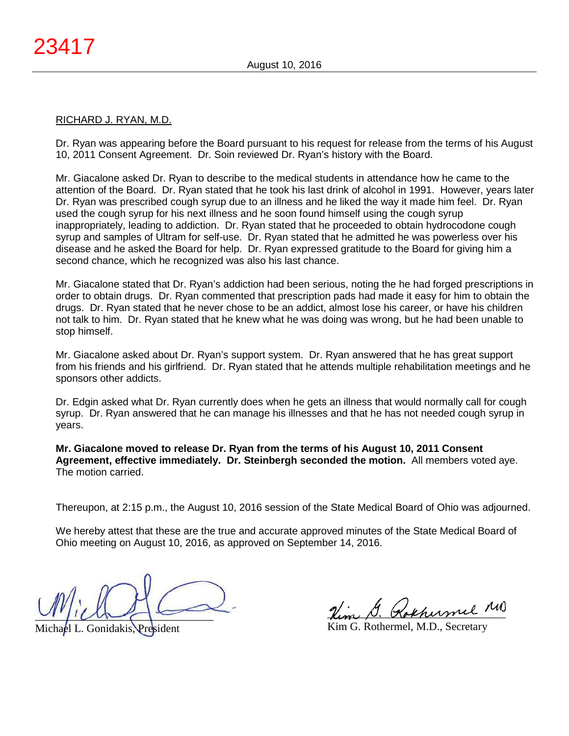#### RICHARD J. RYAN, M.D.

Dr. Ryan was appearing before the Board pursuant to his request for release from the terms of his August 10, 2011 Consent Agreement. Dr. Soin reviewed Dr. Ryan's history with the Board.

Mr. Giacalone asked Dr. Ryan to describe to the medical students in attendance how he came to the attention of the Board. Dr. Ryan stated that he took his last drink of alcohol in 1991. However, years later Dr. Ryan was prescribed cough syrup due to an illness and he liked the way it made him feel. Dr. Ryan used the cough syrup for his next illness and he soon found himself using the cough syrup inappropriately, leading to addiction. Dr. Ryan stated that he proceeded to obtain hydrocodone cough syrup and samples of Ultram for self-use. Dr. Ryan stated that he admitted he was powerless over his disease and he asked the Board for help. Dr. Ryan expressed gratitude to the Board for giving him a second chance, which he recognized was also his last chance.

Mr. Giacalone stated that Dr. Ryan's addiction had been serious, noting the he had forged prescriptions in order to obtain drugs. Dr. Ryan commented that prescription pads had made it easy for him to obtain the drugs. Dr. Ryan stated that he never chose to be an addict, almost lose his career, or have his children not talk to him. Dr. Ryan stated that he knew what he was doing was wrong, but he had been unable to stop himself.

Mr. Giacalone asked about Dr. Ryan's support system. Dr. Ryan answered that he has great support from his friends and his girlfriend. Dr. Ryan stated that he attends multiple rehabilitation meetings and he sponsors other addicts.

Dr. Edgin asked what Dr. Ryan currently does when he gets an illness that would normally call for cough syrup. Dr. Ryan answered that he can manage his illnesses and that he has not needed cough syrup in years.

**Mr. Giacalone moved to release Dr. Ryan from the terms of his August 10, 2011 Consent Agreement, effective immediately. Dr. Steinbergh seconded the motion.** All members voted aye. The motion carried.

Thereupon, at 2:15 p.m., the August 10, 2016 session of the State Medical Board of Ohio was adjourned.

We hereby attest that these are the true and accurate approved minutes of the State Medical Board of Ohio meeting on August 10, 2016, as approved on September 14, 2016.

 $U^{\prime}$ 

Michael L. Gonidakis, President

\_\_\_\_\_\_\_\_\_\_\_\_\_\_\_\_\_\_\_\_\_\_\_\_\_\_\_\_\_\_\_\_

Kim G. Rothermel, M.D., Secretary